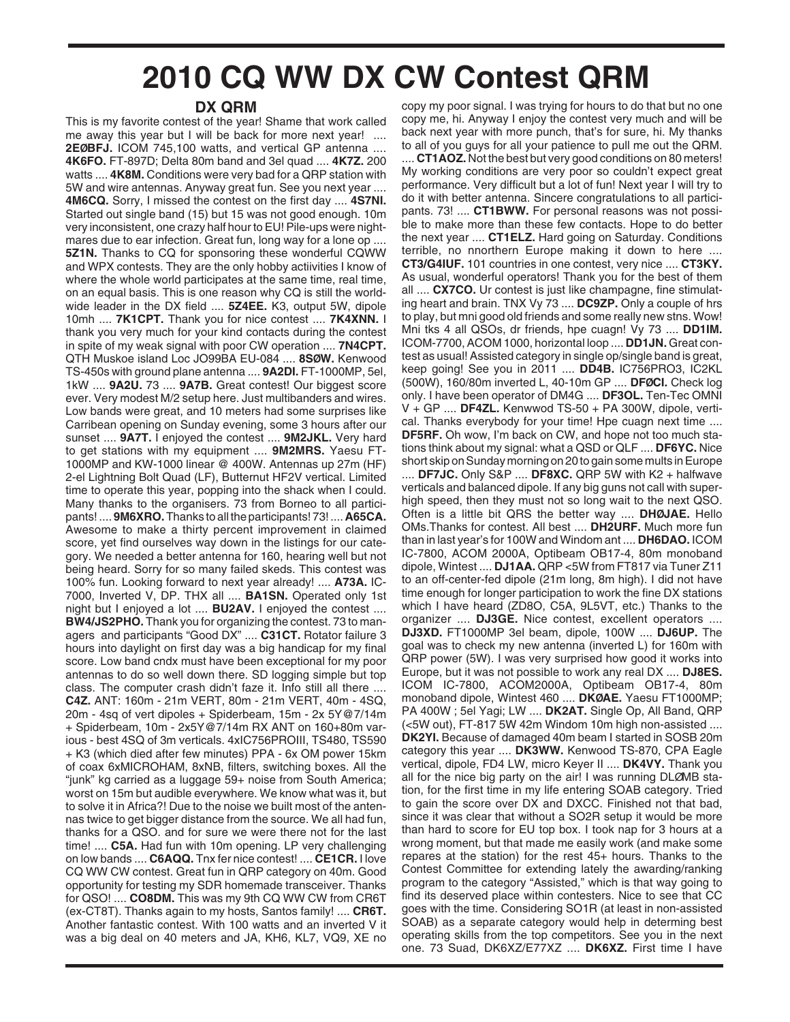## **2010 CQ WW DX CW Contest QRM**

## **DX QRM**

This is my favorite contest of the year! Shame that work called me away this year but I will be back for more next year! .... **2EØBFJ.** ICOM 745,100 watts, and vertical GP antenna .... **4K6FO.** FT-897D; Delta 80m band and 3el quad .... **4K7Z.** 200 watts .... **4K8M.** Conditions were very bad for a QRP station with 5W and wire antennas. Anyway great fun. See you next year .... **4M6CQ.** Sorry, I missed the contest on the first day .... **4S7NI.** Started out single band (15) but 15 was not good enough. 10m very inconsistent, one crazy half hour to EU! Pile-ups were nightmares due to ear infection. Great fun, long way for a lone op .... **5Z1N.** Thanks to CQ for sponsoring these wonderful CQWW and WPX contests. They are the only hobby actiivities I know of where the whole world participates at the same time, real time, on an equal basis. This is one reason why CQ is still the worldwide leader in the DX field .... **5Z4EE.** K3, output 5W, dipole 10mh .... **7K1CPT.** Thank you for nice contest .... **7K4XNN.** I thank you very much for your kind contacts during the contest in spite of my weak signal with poor CW operation .... **7N4CPT.** QTH Muskoe island Loc JO99BA EU-084 .... **8SØW.** Kenwood TS-450s with ground plane antenna .... **9A2DI.** FT-1000MP, 5el, 1kW .... **9A2U.** 73 .... **9A7B.** Great contest! Our biggest score ever. Very modest M/2 setup here. Just multibanders and wires. Low bands were great, and 10 meters had some surprises like Carribean opening on Sunday evening, some 3 hours after our sunset .... **9A7T.** I enjoyed the contest .... **9M2JKL.** Very hard to get stations with my equipment .... **9M2MRS.** Yaesu FT-1000MP and KW-1000 linear @ 400W. Antennas up 27m (HF) 2-el Lightning Bolt Quad (LF), Butternut HF2V vertical. Limited time to operate this year, popping into the shack when I could. Many thanks to the organisers. 73 from Borneo to all participants! .... **9M6XRO.**Thanks to all the participants! 73! .... **A65CA.** Awesome to make a thirty percent improvement in claimed score, yet find ourselves way down in the listings for our category. We needed a better antenna for 160, hearing well but not being heard. Sorry for so many failed skeds. This contest was 100% fun. Looking forward to next year already! .... **A73A.** IC-7000, Inverted V, DP. THX all .... **BA1SN.** Operated only 1st night but I enjoyed a lot .... **BU2AV.** I enjoyed the contest .... **BW4/JS2PHO.** Thank you for organizing the contest. 73 to managers and participants "Good DX" .... **C31CT.** Rotator failure 3 hours into daylight on first day was a big handicap for my final score. Low band cndx must have been exceptional for my poor antennas to do so well down there. SD logging simple but top class. The computer crash didn't faze it. Info still all there .... **C4Z.** ANT: 160m - 21m VERT, 80m - 21m VERT, 40m - 4SQ, 20m - 4sq of vert dipoles + Spiderbeam, 15m - 2x 5Y@7/14m + Spiderbeam, 10m - 2x5Y@7/14m RX ANT on 160+80m various - best 4SQ of 3m verticals. 4xIC756PROIII, TS480, TS590 + K3 (which died after few minutes) PPA - 6x OM power 15km of coax 6xMICROHAM, 8xNB, filters, switching boxes. All the "junk" kg carried as a luggage 59+ noise from South America; worst on 15m but audible everywhere. We know what was it, but to solve it in Africa?! Due to the noise we built most of the antennas twice to get bigger distance from the source. We all had fun, thanks for a QSO. and for sure we were there not for the last time! .... **C5A.** Had fun with 10m opening. LP very challenging on low bands .... **C6AQQ.** Tnx fer nice contest! .... **CE1CR.** I love CQ WW CW contest. Great fun in QRP category on 40m. Good opportunity for testing my SDR homemade transceiver. Thanks for QSO! .... **CO8DM.** This was my 9th CQ WW CW from CR6T (ex-CT8T). Thanks again to my hosts, Santos family! .... **CR6T.** Another fantastic contest. With 100 watts and an inverted V it was a big deal on 40 meters and JA, KH6, KL7, VQ9, XE no

copy my poor signal. I was trying for hours to do that but no one copy me, hi. Anyway I enjoy the contest very much and will be back next year with more punch, that's for sure, hi. My thanks to all of you guys for all your patience to pull me out the QRM.

.... **CT1AOZ.** Not the best but very good conditions on 80 meters! My working conditions are very poor so couldn't expect great performance. Very difficult but a lot of fun! Next year I will try to do it with better antenna. Sincere congratulations to all participants. 73! .... **CT1BWW.** For personal reasons was not possible to make more than these few contacts. Hope to do better the next year .... **CT1ELZ.** Hard going on Saturday. Conditions terrible, no nnorthern Europe making it down to here .... **CT3/G4IUF.** 101 countries in one contest, very nice .... **CT3KY.** As usual, wonderful operators! Thank you for the best of them all .... **CX7CO.** Ur contest is just like champagne, fine stimulating heart and brain. TNX Vy 73 .... **DC9ZP.** Only a couple of hrs to play, but mni good old friends and some really new stns. Wow! Mni tks 4 all QSOs, dr friends, hpe cuagn! Vy 73 .... **DD1IM.** ICOM-7700, ACOM 1000, horizontal loop .... **DD1JN.** Great contest as usual! Assisted category in single op/single band is great, keep going! See you in 2011 .... **DD4B.** IC756PRO3, IC2KL (500W), 160/80m inverted L, 40-10m GP .... **DFØCI.** Check log only. I have been operator of DM4G .... **DF3OL.** Ten-Tec OMNI V + GP .... **DF4ZL.** Kenwwod TS-50 + PA 300W, dipole, vertical. Thanks everybody for your time! Hpe cuagn next time .... **DF5RF.** Oh wow, I'm back on CW, and hope not too much stations think about my signal: what a QSD or QLF .... **DF6YC.** Nice short skip on Sunday morning on 20 to gain some mults in Europe .... **DF7JC.** Only S&P .... **DF8XC.** QRP 5W with K2 + halfwave verticals and balanced dipole. If any big guns not call with superhigh speed, then they must not so long wait to the next QSO. Often is a little bit QRS the better way .... **DHØJAE.** Hello OMs.Thanks for contest. All best .... **DH2URF.** Much more fun than in last year's for 100W and Windom ant .... **DH6DAO.** ICOM IC-7800, ACOM 2000A, Optibeam OB17-4, 80m monoband dipole, Wintest .... **DJ1AA.** QRP <5W from FT817 via Tuner Z11 to an off-center-fed dipole (21m long, 8m high). I did not have time enough for longer participation to work the fine DX stations which I have heard (ZD8O, C5A, 9L5VT, etc.) Thanks to the organizer .... **DJ3GE.** Nice contest, excellent operators .... **DJ3XD.** FT1000MP 3el beam, dipole, 100W .... **DJ6UP.** The goal was to check my new antenna (inverted L) for 160m with QRP power (5W). I was very surprised how good it works into Europe, but it was not possible to work any real DX .... **DJ8ES.** ICOM IC-7800, ACOM2000A, Optibeam OB17-4, 80m monoband dipole, Wintest 460 .... **DKØAE.** Yaesu FT1000MP; PA 400W ; 5el Yagi; LW .... **DK2AT.** Single Op, All Band, QRP (<5W out), FT-817 5W 42m Windom 10m high non-assisted .... **DK2YI.** Because of damaged 40m beam I started in SOSB 20m category this year .... **DK3WW.** Kenwood TS-870, CPA Eagle vertical, dipole, FD4 LW, micro Keyer II .... **DK4VY.** Thank you all for the nice big party on the air! I was running DLØMB station, for the first time in my life entering SOAB category. Tried to gain the score over DX and DXCC. Finished not that bad, since it was clear that without a SO2R setup it would be more than hard to score for EU top box. I took nap for 3 hours at a wrong moment, but that made me easily work (and make some repares at the station) for the rest 45+ hours. Thanks to the Contest Committee for extending lately the awarding/ranking program to the category "Assisted," which is that way going to find its deserved place within contesters. Nice to see that CC goes with the time. Considering SO1R (at least in non-assisted SOAB) as a separate category would help in determing best operating skills from the top competitors. See you in the next one. 73 Suad, DK6XZ/E77XZ .... **DK6XZ.** First time I have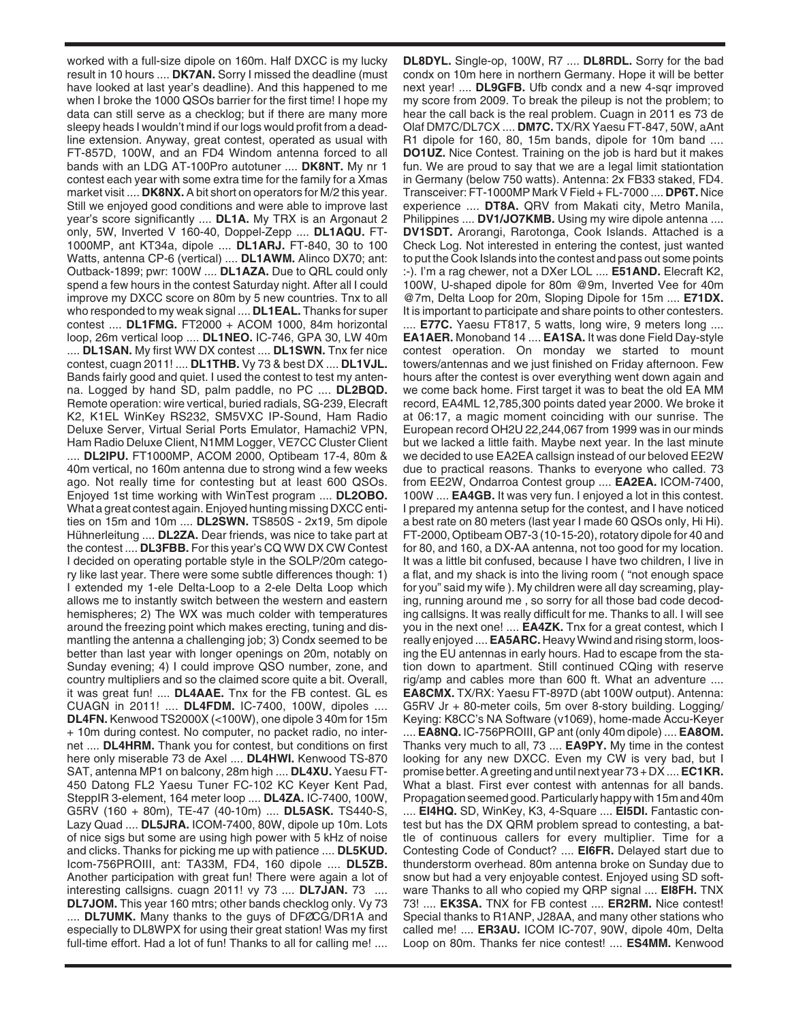worked with a full-size dipole on 160m. Half DXCC is my lucky result in 10 hours .... **DK7AN.** Sorry I missed the deadline (must have looked at last year's deadline). And this happened to me when I broke the 1000 QSOs barrier for the first time! I hope my data can still serve as a checklog; but if there are many more sleepy heads I wouldn't mind if our logs would profit from a deadline extension. Anyway, great contest, operated as usual with FT-857D, 100W, and an FD4 Windom antenna forced to all bands with an LDG AT-100Pro autotuner .... **DK8NT.** My nr 1 contest each year with some extra time for the family for a Xmas market visit .... **DK8NX.** A bit short on operators for M/2 this year. Still we enjoyed good conditions and were able to improve last year's score significantly .... **DL1A.** My TRX is an Argonaut 2 only, 5W, Inverted V 160-40, Doppel-Zepp .... **DL1AQU.** FT-1000MP, ant KT34a, dipole .... **DL1ARJ.** FT-840, 30 to 100 Watts, antenna CP-6 (vertical) .... **DL1AWM.** Alinco DX70; ant: Outback-1899; pwr: 100W .... **DL1AZA.** Due to QRL could only spend a few hours in the contest Saturday night. After all I could improve my DXCC score on 80m by 5 new countries. Tnx to all who responded to my weak signal .... **DL1EAL.** Thanks for super contest .... **DL1FMG.** FT2000 + ACOM 1000, 84m horizontal loop, 26m vertical loop .... **DL1NEO.** IC-746, GPA 30, LW 40m .... **DL1SAN.** My first WW DX contest .... **DL1SWN.** Tnx fer nice contest, cuagn 2011! .... **DL1THB.** Vy 73 & best DX .... **DL1VJL.** Bands fairly good and quiet. I used the contest to test my antenna. Logged by hand SD, palm paddle, no PC .... **DL2BQD.** Remote operation: wire vertical, buried radials, SG-239, Elecraft K2, K1EL WinKey RS232, SM5VXC IP-Sound, Ham Radio Deluxe Server, Virtual Serial Ports Emulator, Hamachi2 VPN, Ham Radio Deluxe Client, N1MM Logger, VE7CC Cluster Client .... **DL2IPU.** FT1000MP, ACOM 2000, Optibeam 17-4, 80m & 40m vertical, no 160m antenna due to strong wind a few weeks ago. Not really time for contesting but at least 600 QSOs. Enjoyed 1st time working with WinTest program .... **DL2OBO.** What a great contest again. Enjoyed hunting missing DXCC entities on 15m and 10m .... **DL2SWN.** TS850S - 2x19, 5m dipole Hühnerleitung .... **DL2ZA.** Dear friends, was nice to take part at the contest .... **DL3FBB.** For this year's CQ WW DX CW Contest I decided on operating portable style in the SOLP/20m category like last year. There were some subtle differences though: 1) I extended my 1-ele Delta-Loop to a 2-ele Delta Loop which allows me to instantly switch between the western and eastern hemispheres; 2) The WX was much colder with temperatures around the freezing point which makes erecting, tuning and dismantling the antenna a challenging job; 3) Condx seemed to be better than last year with longer openings on 20m, notably on Sunday evening; 4) I could improve QSO number, zone, and country multipliers and so the claimed score quite a bit. Overall, it was great fun! .... **DL4AAE.** Tnx for the FB contest. GL es CUAGN in 2011! .... **DL4FDM.** IC-7400, 100W, dipoles .... **DL4FN.** Kenwood TS2000X (<100W), one dipole 3 40m for 15m + 10m during contest. No computer, no packet radio, no internet .... **DL4HRM.** Thank you for contest, but conditions on first here only miserable 73 de Axel .... **DL4HWI.** Kenwood TS-870 SAT, antenna MP1 on balcony, 28m high .... **DL4XU.** Yaesu FT-450 Datong FL2 Yaesu Tuner FC-102 KC Keyer Kent Pad, SteppIR 3-element, 164 meter loop .... **DL4ZA.** IC-7400, 100W, G5RV (160 + 80m), TE-47 (40-10m) .... **DL5ASK.** TS440-S, Lazy Quad .... **DL5JRA.** ICOM-7400, 80W, dipole up 10m. Lots of nice sigs but some are using high power with 5 kHz of noise and clicks. Thanks for picking me up with patience .... **DL5KUD.** Icom-756PROIII, ant: TA33M, FD4, 160 dipole .... **DL5ZB.** Another participation with great fun! There were again a lot of interesting callsigns. cuagn 2011! vy 73 .... **DL7JAN.** 73 .... **DL7JOM.** This year 160 mtrs; other bands checklog only. Vy 73 .... **DL7UMK.** Many thanks to the guys of DFØCG/DR1A and especially to DL8WPX for using their great station! Was my first full-time effort. Had a lot of fun! Thanks to all for calling me! ....

**DL8DYL.** Single-op, 100W, R7 .... **DL8RDL.** Sorry for the bad condx on 10m here in northern Germany. Hope it will be better next year! .... **DL9GFB.** Ufb condx and a new 4-sqr improved my score from 2009. To break the pileup is not the problem; to hear the call back is the real problem. Cuagn in 2011 es 73 de Olaf DM7C/DL7CX .... **DM7C.** TX/RX Yaesu FT-847, 50W, aAnt R1 dipole for 160, 80, 15m bands, dipole for 10m band .... **DO1UZ.** Nice Contest. Training on the job is hard but it makes fun. We are proud to say that we are a legal limit stationtation in Germany (below 750 watts). Antenna: 2x FB33 staked, FD4. Transceiver: FT-1000MP Mark V Field + FL-7000 .... **DP6T.** Nice experience .... **DT8A.** QRV from Makati city, Metro Manila, Philippines .... **DV1/JO7KMB.** Using my wire dipole antenna .... **DV1SDT.** Arorangi, Rarotonga, Cook Islands. Attached is a Check Log. Not interested in entering the contest, just wanted to put the Cook Islands into the contest and pass out some points :-). I'm a rag chewer, not a DXer LOL .... **E51AND.** Elecraft K2, 100W, U-shaped dipole for 80m @9m, Inverted Vee for 40m @7m, Delta Loop for 20m, Sloping Dipole for 15m .... **E71DX.** It is important to participate and share points to other contesters. .... **E77C.** Yaesu FT817, 5 watts, long wire, 9 meters long .... **EA1AER.** Monoband 14 .... **EA1SA.** It was done Field Day-style contest operation. On monday we started to mount towers/antennas and we just finished on Friday afternoon. Few hours after the contest is over everything went down again and we come back home. First target it was to beat the old EA MM record, EA4ML 12,785,300 points dated year 2000. We broke it at 06:17, a magic moment coinciding with our sunrise. The European record OH2U 22,244,067 from 1999 was in our minds but we lacked a little faith. Maybe next year. In the last minute we decided to use EA2EA callsign instead of our beloved EE2W due to practical reasons. Thanks to everyone who called. 73 from EE2W, Ondarroa Contest group .... **EA2EA.** ICOM-7400, 100W .... **EA4GB.** It was very fun. I enjoyed a lot in this contest. I prepared my antenna setup for the contest, and I have noticed a best rate on 80 meters (last year I made 60 QSOs only, Hi Hi). FT-2000, Optibeam OB7-3 (10-15-20), rotatory dipole for 40 and for 80, and 160, a DX-AA antenna, not too good for my location. It was a little bit confused, because I have two children, I live in a flat, and my shack is into the living room ( "not enough space for you" said my wife ). My children were all day screaming, playing, running around me , so sorry for all those bad code decoding callsigns. It was really difficult for me. Thanks to all. I will see you in the next one! .... **EA4ZK.** Tnx for a great contest, which I really enjoyed .... **EA5ARC.** Heavy Wwind and rising storm, loosing the EU antennas in early hours. Had to escape from the station down to apartment. Still continued CQing with reserve rig/amp and cables more than 600 ft. What an adventure .... **EA8CMX.** TX/RX: Yaesu FT-897D (abt 100W output). Antenna: G5RV Jr + 80-meter coils, 5m over 8-story building. Logging/ Keying: K8CC's NA Software (v1069), home-made Accu-Keyer

.... **EA8NQ.** IC-756PROIII, GP ant (only 40m dipole) .... **EA8OM.** Thanks very much to all, 73 .... **EA9PY.** My time in the contest looking for any new DXCC. Even my CW is very bad, but I promise better. A greeting and until next year 73 + DX .... **EC1KR.** What a blast. First ever contest with antennas for all bands. Propagation seemed good. Particularly happy with 15m and 40m .... **EI4HQ.** SD, WinKey, K3, 4-Square .... **EI5DI.** Fantastic contest but has the DX QRM problem spread to contesting, a battle of continuous callers for every multiplier. Time for a Contesting Code of Conduct? .... **EI6FR.** Delayed start due to thunderstorm overhead. 80m antenna broke on Sunday due to snow but had a very enjoyable contest. Enjoyed using SD software Thanks to all who copied my QRP signal .... **EI8FH.** TNX 73! .... **EK3SA.** TNX for FB contest .... **ER2RM.** Nice contest! Special thanks to R1ANP, J28AA, and many other stations who called me! .... **ER3AU.** ICOM IC-707, 90W, dipole 40m, Delta Loop on 80m. Thanks fer nice contest! .... **ES4MM.** Kenwood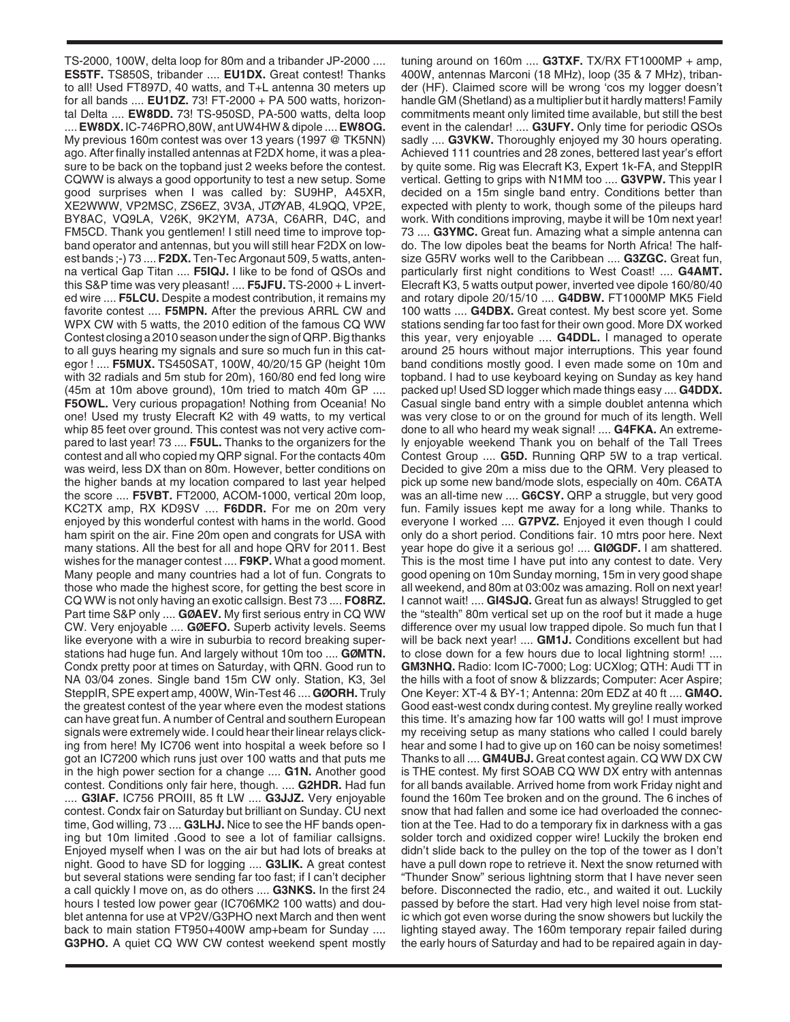TS-2000, 100W, delta loop for 80m and a tribander JP-2000 .... **ES5TF.** TS850S, tribander .... **EU1DX.** Great contest! Thanks to all! Used FT897D, 40 watts, and T+L antenna 30 meters up for all bands .... **EU1DZ.** 73! FT-2000 + PA 500 watts, horizontal Delta .... **EW8DD.** 73! TS-950SD, PA-500 watts, delta loop .... **EW8DX.** IC-746PRO,80W, ant UW4HW & dipole .... **EW8OG.** My previous 160m contest was over 13 years (1997 @ TK5NN) ago. After finally installed antennas at F2DX home, it was a pleasure to be back on the topband just 2 weeks before the contest. CQWW is always a good opportunity to test a new setup. Some good surprises when I was called by: SU9HP, A45XR, XE2WWW, VP2MSC, ZS6EZ, 3V3A, JTØYAB, 4L9QQ, VP2E, BY8AC, VQ9LA, V26K, 9K2YM, A73A, C6ARR, D4C, and FM5CD. Thank you gentlemen! I still need time to improve topband operator and antennas, but you will still hear F2DX on lowest bands ;-) 73 .... **F2DX.** Ten-Tec Argonaut 509, 5 watts, antenna vertical Gap Titan .... **F5IQJ.** I like to be fond of QSOs and this S&P time was very pleasant! .... **F5JFU.** TS-2000 + L inverted wire .... **F5LCU.** Despite a modest contribution, it remains my favorite contest .... **F5MPN.** After the previous ARRL CW and WPX CW with 5 watts, the 2010 edition of the famous CQ WW Contest closing a 2010 season under the sign of QRP. Big thanks to all guys hearing my signals and sure so much fun in this categor ! .... **F5MUX.** TS450SAT, 100W, 40/20/15 GP (height 10m with 32 radials and 5m stub for 20m), 160/80 end fed long wire (45m at 10m above ground), 10m tried to match 40m GP .... **F5OWL.** Very curious propagation! Nothing from Oceania! No one! Used my trusty Elecraft K2 with 49 watts, to my vertical whip 85 feet over ground. This contest was not very active compared to last year! 73 .... **F5UL.** Thanks to the organizers for the contest and all who copied my QRP signal. For the contacts 40m was weird, less DX than on 80m. However, better conditions on the higher bands at my location compared to last year helped the score .... **F5VBT.** FT2000, ACOM-1000, vertical 20m loop, KC2TX amp, RX KD9SV .... **F6DDR.** For me on 20m very enjoyed by this wonderful contest with hams in the world. Good ham spirit on the air. Fine 20m open and congrats for USA with many stations. All the best for all and hope QRV for 2011. Best wishes for the manager contest .... **F9KP.** What a good moment. Many people and many countries had a lot of fun. Congrats to those who made the highest score, for getting the best score in CQ WW is not only having an exotic callsign. Best 73 .... **FO8RZ.** Part time S&P only .... **GØAEV.** My first serious entry in CQ WW CW. Very enjoyable .... **GØEFO.** Superb activity levels. Seems like everyone with a wire in suburbia to record breaking superstations had huge fun. And largely without 10m too .... **GØMTN.** Condx pretty poor at times on Saturday, with QRN. Good run to NA 03/04 zones. Single band 15m CW only. Station, K3, 3el SteppIR, SPE expert amp, 400W, Win-Test 46 .... **GØORH.** Truly the greatest contest of the year where even the modest stations can have great fun. A number of Central and southern European signals were extremely wide. I could hear their linear relays clicking from here! My IC706 went into hospital a week before so I got an IC7200 which runs just over 100 watts and that puts me in the high power section for a change .... **G1N.** Another good contest. Conditions only fair here, though. .... **G2HDR.** Had fun .... **G3IAF.** IC756 PROIII, 85 ft LW .... **G3JJZ.** Very enjoyable contest. Condx fair on Saturday but brilliant on Sunday. CU next time, God willing, 73 .... **G3LHJ.** Nice to see the HF bands opening but 10m limited .Good to see a lot of familiar callsigns. Enjoyed myself when I was on the air but had lots of breaks at night. Good to have SD for logging .... **G3LIK.** A great contest but several stations were sending far too fast; if I can't decipher a call quickly I move on, as do others .... **G3NKS.** In the first 24 hours I tested low power gear (IC706MK2 100 watts) and doublet antenna for use at VP2V/G3PHO next March and then went back to main station FT950+400W amp+beam for Sunday .... **G3PHO.** A quiet CQ WW CW contest weekend spent mostly

tuning around on 160m .... **G3TXF.** TX/RX FT1000MP + amp, 400W, antennas Marconi (18 MHz), loop (35 & 7 MHz), tribander (HF). Claimed score will be wrong 'cos my logger doesn't handle GM (Shetland) as a multiplier but it hardly matters! Family commitments meant only limited time available, but still the best event in the calendar! .... **G3UFY.** Only time for periodic QSOs sadly .... **G3VKW.** Thoroughly enjoyed my 30 hours operating. Achieved 111 countries and 28 zones, bettered last year's effort by quite some. Rig was Elecraft K3, Expert 1k-FA, and SteppIR vertical. Getting to grips with N1MM too .... **G3VPW.** This year I decided on a 15m single band entry. Conditions better than expected with plenty to work, though some of the pileups hard work. With conditions improving, maybe it will be 10m next year! 73 .... **G3YMC.** Great fun. Amazing what a simple antenna can do. The low dipoles beat the beams for North Africa! The halfsize G5RV works well to the Caribbean .... **G3ZGC.** Great fun, particularly first night conditions to West Coast! .... **G4AMT.** Elecraft K3, 5 watts output power, inverted vee dipole 160/80/40 and rotary dipole 20/15/10 .... **G4DBW.** FT1000MP MK5 Field 100 watts .... **G4DBX.** Great contest. My best score yet. Some stations sending far too fast for their own good. More DX worked this year, very enjoyable .... **G4DDL.** I managed to operate around 25 hours without major interruptions. This year found band conditions mostly good. I even made some on 10m and topband. I had to use keyboard keying on Sunday as key hand packed up! Used SD logger which made things easy .... **G4DDX.** Casual single band entry with a simple doublet antenna which was very close to or on the ground for much of its length. Well done to all who heard my weak signal! .... **G4FKA.** An extremely enjoyable weekend Thank you on behalf of the Tall Trees Contest Group .... **G5D.** Running QRP 5W to a trap vertical. Decided to give 20m a miss due to the QRM. Very pleased to pick up some new band/mode slots, especially on 40m. C6ATA was an all-time new .... **G6CSY.** QRP a struggle, but very good fun. Family issues kept me away for a long while. Thanks to everyone I worked .... **G7PVZ.** Enjoyed it even though I could only do a short period. Conditions fair. 10 mtrs poor here. Next year hope do give it a serious go! .... **GIØGDF.** I am shattered. This is the most time I have put into any contest to date. Very good opening on 10m Sunday morning, 15m in very good shape all weekend, and 80m at 03:00z was amazing. Roll on next year! I cannot wait! .... **GI4SJQ.** Great fun as always! Struggled to get the "stealth" 80m vertical set up on the roof but it made a huge difference over my usual low trapped dipole. So much fun that I will be back next year! .... **GM1J.** Conditions excellent but had to close down for a few hours due to local lightning storm! .... **GM3NHQ.** Radio: Icom IC-7000; Log: UCXlog; QTH: Audi TT in the hills with a foot of snow & blizzards; Computer: Acer Aspire; One Keyer: XT-4 & BY-1; Antenna: 20m EDZ at 40 ft .... **GM4O.** Good east-west condx during contest. My greyline really worked this time. It's amazing how far 100 watts will go! I must improve my receiving setup as many stations who called I could barely hear and some I had to give up on 160 can be noisy sometimes! Thanks to all .... **GM4UBJ.** Great contest again. CQ WW DX CW is THE contest. My first SOAB CQ WW DX entry with antennas for all bands available. Arrived home from work Friday night and found the 160m Tee broken and on the ground. The 6 inches of snow that had fallen and some ice had overloaded the connection at the Tee. Had to do a temporary fix in darkness with a gas solder torch and oxidized copper wire! Luckily the broken end didn't slide back to the pulley on the top of the tower as I don't have a pull down rope to retrieve it. Next the snow returned with "Thunder Snow" serious lightning storm that I have never seen before. Disconnected the radio, etc., and waited it out. Luckily passed by before the start. Had very high level noise from static which got even worse during the snow showers but luckily the lighting stayed away. The 160m temporary repair failed during the early hours of Saturday and had to be repaired again in day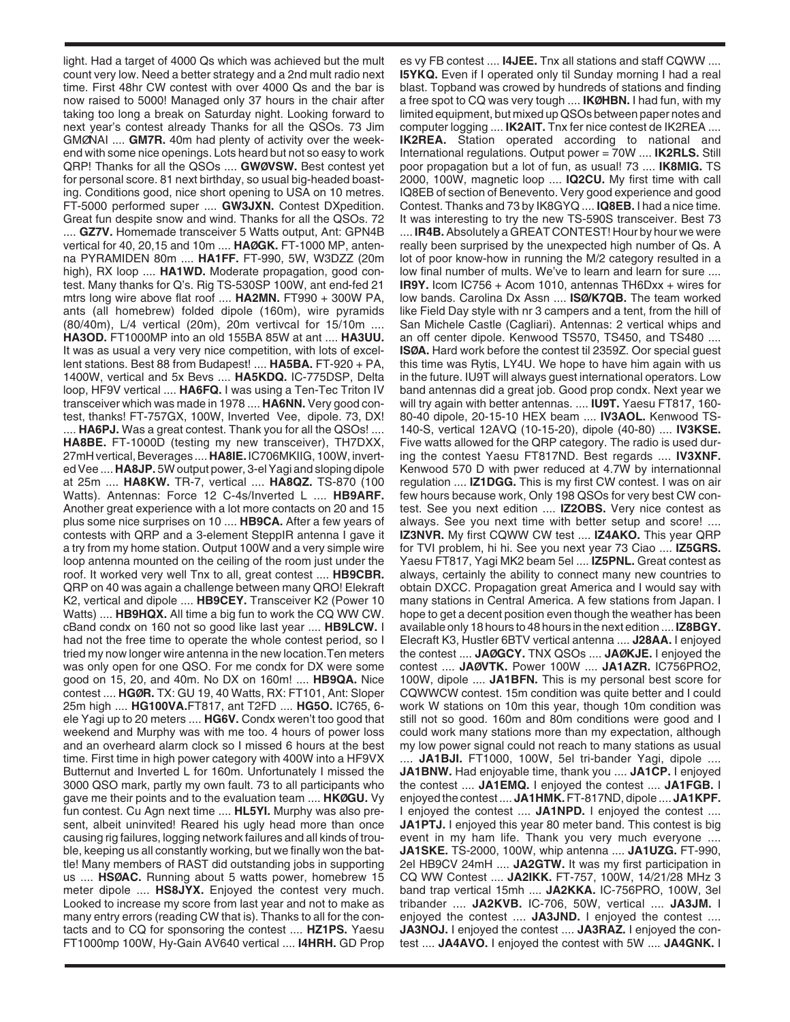light. Had a target of 4000 Qs which was achieved but the mult count very low. Need a better strategy and a 2nd mult radio next time. First 48hr CW contest with over 4000 Qs and the bar is now raised to 5000! Managed only 37 hours in the chair after taking too long a break on Saturday night. Looking forward to next year's contest already Thanks for all the QSOs. 73 Jim GMØNAI .... **GM7R.** 40m had plenty of activity over the weekend with some nice openings. Lots heard but not so easy to work QRP! Thanks for all the QSOs .... **GWØVSW.** Best contest yet for personal score. 81 next birthday, so usual big-headed boasting. Conditions good, nice short opening to USA on 10 metres. FT-5000 performed super .... **GW3JXN.** Contest DXpedition. Great fun despite snow and wind. Thanks for all the QSOs. 72 .... **GZ7V.** Homemade transceiver 5 Watts output, Ant: GPN4B vertical for 40, 20,15 and 10m .... **HAØGK.** FT-1000 MP, antenna PYRAMIDEN 80m .... **HA1FF.** FT-990, 5W, W3DZZ (20m high), RX loop .... **HA1WD.** Moderate propagation, good contest. Many thanks for Q's. Rig TS-530SP 100W, ant end-fed 21 mtrs long wire above flat roof .... **HA2MN.** FT990 + 300W PA, ants (all homebrew) folded dipole (160m), wire pyramids (80/40m), L/4 vertical (20m), 20m vertivcal for 15/10m .... **HA3OD.** FT1000MP into an old 155BA 85W at ant .... **HA3UU.** It was as usual a very very nice competition, with lots of excellent stations. Best 88 from Budapest! .... **HA5BA.** FT-920 + PA, 1400W, vertical and 5x Bevs .... **HA5KDQ.** IC-775DSP, Delta loop, HF9V vertical .... **HA6FQ.** I was using a Ten-Tec Triton IV transceiver which was made in 1978 .... **HA6NN.** Very good contest, thanks! FT-757GX, 100W, Inverted Vee, dipole. 73, DX! .... **HA6PJ.** Was a great contest. Thank you for all the QSOs! .... **HA8BE.** FT-1000D (testing my new transceiver), TH7DXX, 27mH vertical, Beverages .... **HA8IE.** IC706MKIIG, 100W, inverted Vee .... **HA8JP.** 5W output power, 3-el Yagi and sloping dipole at 25m .... **HA8KW.** TR-7, vertical .... **HA8QZ.** TS-870 (100 Watts). Antennas: Force 12 C-4s/Inverted L .... **HB9ARF.** Another great experience with a lot more contacts on 20 and 15 plus some nice surprises on 10 .... **HB9CA.** After a few years of contests with QRP and a 3-element SteppIR antenna I gave it a try from my home station. Output 100W and a very simple wire loop antenna mounted on the ceiling of the room just under the roof. It worked very well Tnx to all, great contest .... **HB9CBR.** QRP on 40 was again a challenge between many QRO! Elekraft K2, vertical and dipole .... **HB9CEY.** Transceiver K2 (Power 10 Watts) .... **HB9HQX.** All time a big fun to work the CQ WW CW. cBand condx on 160 not so good like last year .... **HB9LCW.** I had not the free time to operate the whole contest period, so I tried my now longer wire antenna in the new location.Ten meters was only open for one QSO. For me condx for DX were some good on 15, 20, and 40m. No DX on 160m! .... **HB9QA.** Nice contest .... **HGØR.** TX: GU 19, 40 Watts, RX: FT101, Ant: Sloper 25m high .... **HG100VA.**FT817, ant T2FD .... **HG5O.** IC765, 6 ele Yagi up to 20 meters .... **HG6V.** Condx weren't too good that weekend and Murphy was with me too. 4 hours of power loss and an overheard alarm clock so I missed 6 hours at the best time. First time in high power category with 400W into a HF9VX Butternut and Inverted L for 160m. Unfortunately I missed the 3000 QSO mark, partly my own fault. 73 to all participants who gave me their points and to the evaluation team .... **HKØGU.** Vy fun contest. Cu Agn next time .... **HL5YI.** Murphy was also present, albeit uninvited! Reared his ugly head more than once causing rig failures, logging network failures and all kinds of trouble, keeping us all constantly working, but we finally won the battle! Many members of RAST did outstanding jobs in supporting us .... **HSØAC.** Running about 5 watts power, homebrew 15 meter dipole .... **HS8JYX.** Enjoyed the contest very much. Looked to increase my score from last year and not to make as many entry errors (reading CW that is). Thanks to all for the contacts and to CQ for sponsoring the contest .... **HZ1PS.** Yaesu FT1000mp 100W, Hy-Gain AV640 vertical .... **I4HRH.** GD Prop

es vy FB contest .... **I4JEE.** Tnx all stations and staff CQWW .... **I5YKQ.** Even if I operated only til Sunday morning I had a real blast. Topband was crowed by hundreds of stations and finding a free spot to CQ was very tough .... **IKØHBN.** I had fun, with my limited equipment, but mixed up QSOs between paper notes and computer logging .... **IK2AIT.** Tnx fer nice contest de IK2REA .... **IK2REA.** Station operated according to national and International regulations. Output power = 70W .... **IK2RLS.** Still poor propagation but a lot of fun, as usual! 73 .... **IK8MIG.** TS 2000, 100W, magnetic loop .... **IQ2CU.** My first time with call IQ8EB of section of Benevento. Very good experience and good Contest. Thanks and 73 by IK8GYQ .... **IQ8EB.** I had a nice time. It was interesting to try the new TS-590S transceiver. Best 73

.... **IR4B.**Absolutely a GREAT CONTEST! Hour by hour we were really been surprised by the unexpected high number of Qs. A lot of poor know-how in running the M/2 category resulted in a low final number of mults. We've to learn and learn for sure .... **IR9Y.** Icom IC756 + Acom 1010, antennas TH6Dxx + wires for low bands. Carolina Dx Assn .... **ISØ/K7QB.** The team worked like Field Day style with nr 3 campers and a tent, from the hill of San Michele Castle (Cagliari). Antennas: 2 vertical whips and an off center dipole. Kenwood TS570, TS450, and TS480 .... **ISØA.** Hard work before the contest til 2359Z. Oor special guest this time was Rytis, LY4U. We hope to have him again with us in the future. IU9T will always guest international operators. Low band antennas did a great job. Good prop condx. Next year we will try again with better antennas. .... **IU9T.** Yaesu FT817, 160- 80-40 dipole, 20-15-10 HEX beam .... **IV3AOL.** Kenwood TS-140-S, vertical 12AVQ (10-15-20), dipole (40-80) .... **IV3KSE.** Five watts allowed for the QRP category. The radio is used during the contest Yaesu FT817ND. Best regards .... **IV3XNF.** Kenwood 570 D with pwer reduced at 4.7W by internationnal regulation .... **IZ1DGG.** This is my first CW contest. I was on air few hours because work, Only 198 QSOs for very best CW contest. See you next edition .... **IZ2OBS.** Very nice contest as always. See you next time with better setup and score! .... **IZ3NVR.** My first CQWW CW test .... **IZ4AKO.** This year QRP for TVI problem, hi hi. See you next year 73 Ciao .... **IZ5GRS.** Yaesu FT817, Yagi MK2 beam 5el .... **IZ5PNL.** Great contest as always, certainly the ability to connect many new countries to obtain DXCC. Propagation great America and I would say with many stations in Central America. A few stations from Japan. I hope to get a decent position even though the weather has been available only 18 hours to 48 hours in the next edition .... **IZ8BGY.** Elecraft K3, Hustler 6BTV vertical antenna .... **J28AA.** I enjoyed the contest .... **JAØGCY.** TNX QSOs .... **JAØKJE.** I enjoyed the contest .... **JAØVTK.** Power 100W .... **JA1AZR.** IC756PRO2, 100W, dipole .... **JA1BFN.** This is my personal best score for CQWWCW contest. 15m condition was quite better and I could work W stations on 10m this year, though 10m condition was still not so good. 160m and 80m conditions were good and I could work many stations more than my expectation, although my low power signal could not reach to many stations as usual .... **JA1BJI.** FT1000, 100W, 5el tri-bander Yagi, dipole .... **JA1BNW.** Had enjoyable time, thank you .... **JA1CP.** I enjoyed the contest .... **JA1EMQ.** I enjoyed the contest .... **JA1FGB.** I enjoyed the contest .... **JA1HMK.**FT-817ND, dipole .... **JA1KPF.** I enjoyed the contest .... **JA1NPD.** I enjoyed the contest .... **JA1PTJ.** I enjoyed this year 80 meter band. This contest is big event in my ham life. Thank you very much everyone .... **JA1SKE.** TS-2000, 100W, whip antenna .... **JA1UZG.** FT-990, 2el HB9CV 24mH .... **JA2GTW.** It was my first participation in CQ WW Contest .... **JA2IKK.** FT-757, 100W, 14/21/28 MHz 3 band trap vertical 15mh .... **JA2KKA.** IC-756PRO, 100W, 3el tribander .... **JA2KVB.** IC-706, 50W, vertical .... **JA3JM.** I enjoyed the contest .... **JA3JND.** I enjoyed the contest .... **JA3NOJ.** I enjoyed the contest .... **JA3RAZ.** I enjoyed the contest .... **JA4AVO.** I enjoyed the contest with 5W .... **JA4GNK.** I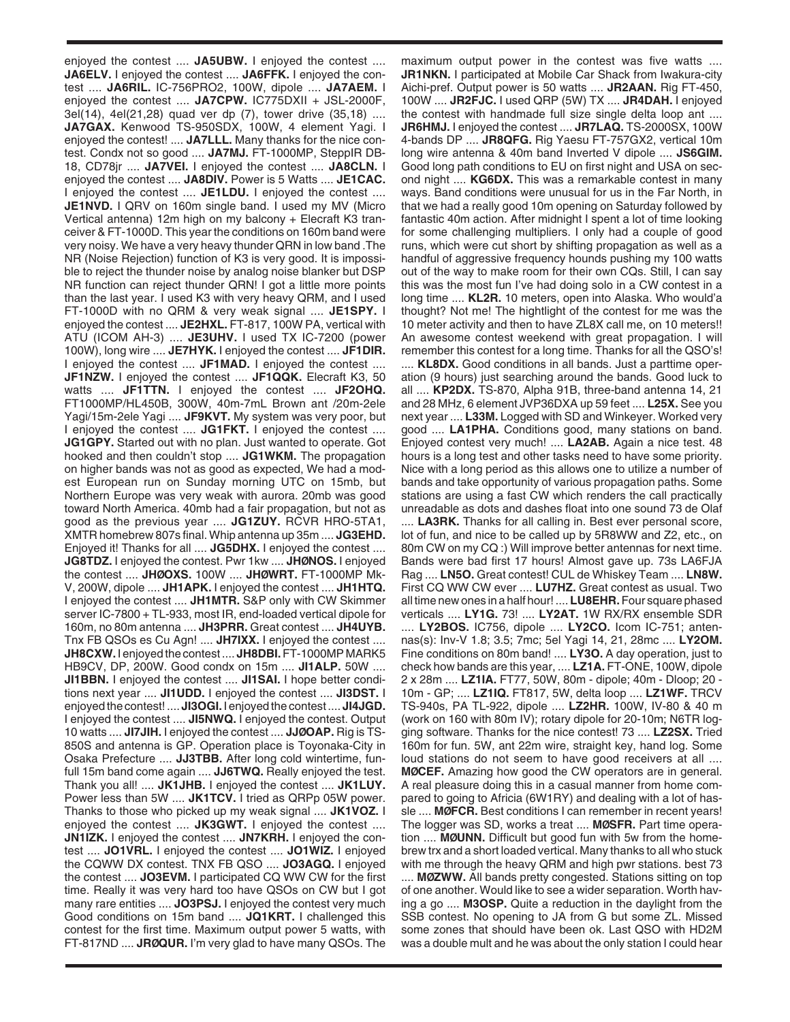enjoyed the contest .... **JA5UBW.** I enjoyed the contest .... **JA6ELV.** I enjoyed the contest .... **JA6FFK.** I enjoyed the contest .... **JA6RIL.** IC-756PRO2, 100W, dipole .... **JA7AEM.** I enjoyed the contest .... **JA7CPW.** IC775DXII + JSL-2000F, 3el(14), 4el(21,28) quad ver dp (7), tower drive (35,18) .... **JA7GAX.** Kenwood TS-950SDX, 100W, 4 element Yagi. I enjoyed the contest! .... **JA7LLL.** Many thanks for the nice contest. Condx not so good .... **JA7MJ.** FT-1000MP, SteppIR DB-18, CD78jr .... **JA7VEI.** I enjoyed the contest .... **JA8CLN.** I enjoyed the contest .... **JA8DIV.** Power is 5 Watts .... **JE1CAC.** I enjoyed the contest .... **JE1LDU.** I enjoyed the contest .... **JE1NVD.** I QRV on 160m single band. I used my MV (Micro Vertical antenna) 12m high on my balcony + Elecraft K3 tranceiver & FT-1000D. This year the conditions on 160m band were very noisy. We have a very heavy thunder QRN in low band .The NR (Noise Rejection) function of K3 is very good. It is impossible to reject the thunder noise by analog noise blanker but DSP NR function can reject thunder QRN! I got a little more points than the last year. I used K3 with very heavy QRM, and I used FT-1000D with no QRM & very weak signal .... **JE1SPY.** I enjoyed the contest .... **JE2HXL.** FT-817, 100W PA, vertical with ATU (ICOM AH-3) .... **JE3UHV.** I used TX IC-7200 (power 100W), long wire .... **JE7HYK.** I enjoyed the contest .... **JF1DIR.** I enjoyed the contest .... **JF1MAD.** I enjoyed the contest .... **JF1NZW.** I enjoyed the contest .... **JF1QQK.** Elecraft K3, 50 watts .... **JF1TTN.** I enjoyed the contest .... **JF2OHQ.** FT1000MP/HL450B, 300W, 40m-7mL Brown ant /20m-2ele Yagi/15m-2ele Yagi .... **JF9KVT.** My system was very poor, but I enjoyed the contest .... **JG1FKT.** I enjoyed the contest .... **JG1GPY.** Started out with no plan. Just wanted to operate. Got hooked and then couldn't stop .... **JG1WKM.** The propagation on higher bands was not as good as expected, We had a modest European run on Sunday morning UTC on 15mb, but Northern Europe was very weak with aurora. 20mb was good toward North America. 40mb had a fair propagation, but not as good as the previous year .... **JG1ZUY.** RCVR HRO-5TA1, XMTR homebrew 807s final. Whip antenna up 35m .... **JG3EHD.** Enjoyed it! Thanks for all .... **JG5DHX.** I enjoyed the contest .... **JG8TDZ.** I enjoyed the contest. Pwr 1kw .... **JHØNOS.** I enjoyed the contest .... **JHØOXS.** 100W .... **JHØWRT.** FT-1000MP Mk-V, 200W, dipole .... **JH1APK.** I enjoyed the contest .... **JH1HTQ.** I enjoyed the contest .... **JH1MTR.** S&P only with CW Skimmer server IC-7800 + TL-933, most IR, end-loaded vertical dipole for 160m, no 80m antenna .... **JH3PRR.** Great contest .... **JH4UYB.** Tnx FB QSOs es Cu Agn! .... **JH7IXX.** I enjoyed the contest .... **JH8CXW.** I enjoyed the contest .... **JH8DBI.**FT-1000MP MARK5 HB9CV, DP, 200W. Good condx on 15m .... **JI1ALP.** 50W .... **JI1BBN.** I enjoyed the contest .... **JI1SAI.** I hope better conditions next year .... **JI1UDD.** I enjoyed the contest .... **JI3DST.** I enjoyed the contest! .... **JI3OGI.** I enjoyed the contest .... **JI4JGD.** I enjoyed the contest .... **JI5NWQ.** I enjoyed the contest. Output 10 watts .... **JI7JIH.** I enjoyed the contest .... **JJØOAP.** Rig is TS-850S and antenna is GP. Operation place is Toyonaka-City in Osaka Prefecture .... **JJ3TBB.** After long cold wintertime, funfull 15m band come again .... **JJ6TWQ.** Really enjoyed the test. Thank you all! .... **JK1JHB.** I enjoyed the contest .... **JK1LUY.** Power less than 5W .... **JK1TCV.** I tried as QRPp 05W power. Thanks to those who picked up my weak signal .... **JK1VOZ.** I enjoyed the contest .... **JK3GWT.** I enjoyed the contest .... **JN1IZK.** I enjoyed the contest .... **JN7KRH.** I enjoyed the contest .... **JO1VRL.** I enjoyed the contest .... **JO1WIZ.** I enjoyed the CQWW DX contest. TNX FB QSO .... **JO3AGQ.** I enjoyed the contest .... **JO3EVM.** I participated CQ WW CW for the first time. Really it was very hard too have QSOs on CW but I got many rare entities .... **JO3PSJ.** I enjoyed the contest very much Good conditions on 15m band .... **JQ1KRT.** I challenged this contest for the first time. Maximum output power 5 watts, with FT-817ND .... **JRØQUR.** I'm very glad to have many QSOs. The

maximum output power in the contest was five watts .... **JR1NKN.** I participated at Mobile Car Shack from Iwakura-city Aichi-pref. Output power is 50 watts .... **JR2AAN.** Rig FT-450, 100W .... **JR2FJC.** I used QRP (5W) TX .... **JR4DAH.** I enjoyed the contest with handmade full size single delta loop ant .... **JR6HMJ.** I enjoyed the contest .... **JR7LAQ.** TS-2000SX, 100W 4-bands DP .... **JR8QFG.** Rig Yaesu FT-757GX2, vertical 10m long wire antenna & 40m band Inverted V dipole .... **JS6GIM.** Good long path conditions to EU on first night and USA on second night .... **KG6DX.** This was a remarkable contest in many ways. Band conditions were unusual for us in the Far North, in that we had a really good 10m opening on Saturday followed by fantastic 40m action. After midnight I spent a lot of time looking for some challenging multipliers. I only had a couple of good runs, which were cut short by shifting propagation as well as a handful of aggressive frequency hounds pushing my 100 watts out of the way to make room for their own CQs. Still, I can say this was the most fun I've had doing solo in a CW contest in a long time .... **KL2R.** 10 meters, open into Alaska. Who would'a thought? Not me! The hightlight of the contest for me was the 10 meter activity and then to have ZL8X call me, on 10 meters!! An awesome contest weekend with great propagation. I will remember this contest for a long time. Thanks for all the QSO's! .... **KL8DX.** Good conditions in all bands. Just a parttime operation (9 hours) just searching around the bands. Good luck to all .... **KP2DX.** TS-870, Alpha 91B, three-band antenna 14, 21 and 28 MHz, 6 element JVP36DXA up 59 feet .... **L25X.** See you next year .... **L33M.** Logged with SD and Winkeyer. Worked very good .... **LA1PHA.** Conditions good, many stations on band. Enjoyed contest very much! .... **LA2AB.** Again a nice test. 48 hours is a long test and other tasks need to have some priority. Nice with a long period as this allows one to utilize a number of bands and take opportunity of various propagation paths. Some stations are using a fast CW which renders the call practically unreadable as dots and dashes float into one sound 73 de Olaf .... **LA3RK.** Thanks for all calling in. Best ever personal score, lot of fun, and nice to be called up by 5R8WW and Z2, etc., on 80m CW on my CQ :) Will improve better antennas for next time. Bands were bad first 17 hours! Almost gave up. 73s LA6FJA Rag .... **LN5O.** Great contest! CUL de Whiskey Team .... **LN8W.** First CQ WW CW ever .... **LU7HZ.** Great contest as usual. Two all time new ones in a half hour! .... **LU8EHR.**Four square phased verticals .... **LY1G.** 73! .... **LY2AT.** 1W RX/RX ensemble SDR .... **LY2BOS.** IC756, dipole .... **LY2CO.** Icom IC-751; antennas(s): Inv-V 1.8; 3.5; 7mc; 5el Yagi 14, 21, 28mc .... **LY2OM.** Fine conditions on 80m band! .... **LY3O.** A day operation, just to check how bands are this year, .... **LZ1A.** FT-ONE, 100W, dipole 2 x 28m .... **LZ1IA.** FT77, 50W, 80m - dipole; 40m - Dloop; 20 - 10m - GP; .... **LZ1IQ.** FT817, 5W, delta loop .... **LZ1WF.** TRCV TS-940s, PA TL-922, dipole .... **LZ2HR.** 100W, IV-80 & 40 m (work on 160 with 80m IV); rotary dipole for 20-10m; N6TR logging software. Thanks for the nice contest! 73 .... **LZ2SX.** Tried 160m for fun. 5W, ant 22m wire, straight key, hand log. Some loud stations do not seem to have good receivers at all .... **MØCEF.** Amazing how good the CW operators are in general. A real pleasure doing this in a casual manner from home compared to going to Africia (6W1RY) and dealing with a lot of hassle .... **MØFCR.** Best conditions I can remember in recent years! The logger was SD, works a treat .... **MØSFR.** Part time operation .... **MØUNN.** Difficult but good fun with 5w from the homebrew trx and a short loaded vertical. Many thanks to all who stuck with me through the heavy QRM and high pwr stations. best 73 .... **MØZWW.** All bands pretty congested. Stations sitting on top of one another. Would like to see a wider separation. Worth having a go .... **M3OSP.** Quite a reduction in the daylight from the SSB contest. No opening to JA from G but some ZL. Missed some zones that should have been ok. Last QSO with HD2M was a double mult and he was about the only station I could hear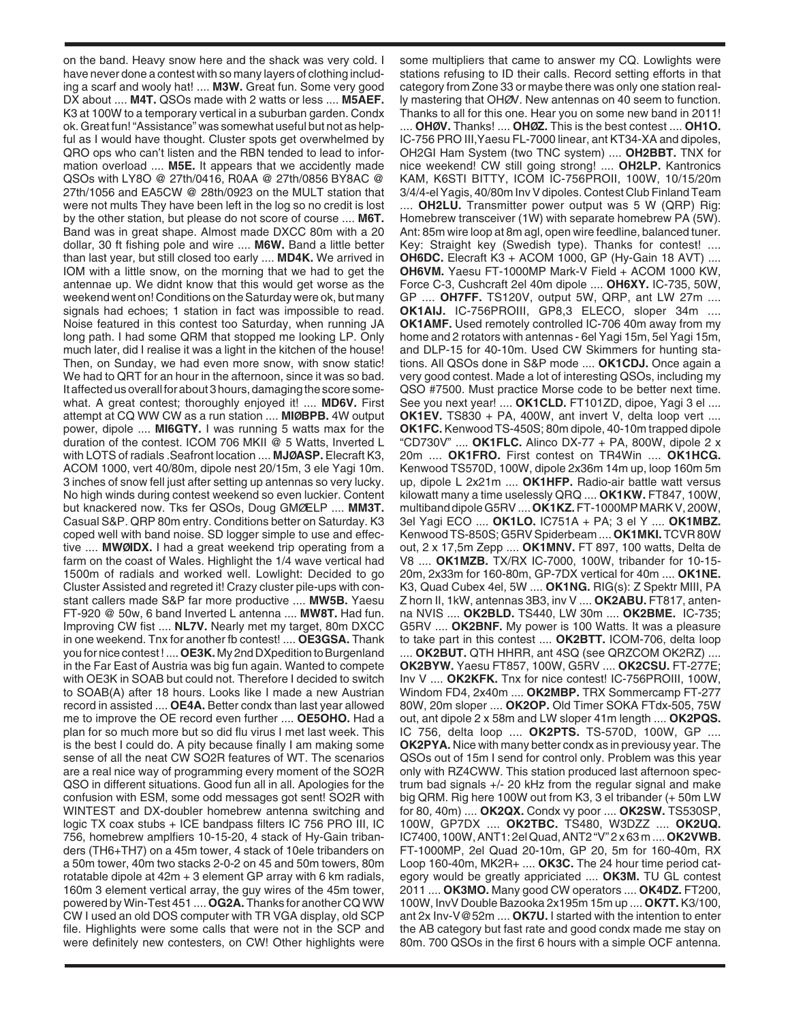on the band. Heavy snow here and the shack was very cold. I have never done a contest with so many layers of clothing including a scarf and wooly hat! .... **M3W.** Great fun. Some very good DX about .... **M4T.** QSOs made with 2 watts or less .... **M5AEF.** K3 at 100W to a temporary vertical in a suburban garden. Condx ok. Great fun! "Assistance" was somewhat useful but not as helpful as I would have thought. Cluster spots get overwhelmed by QRO ops who can't listen and the RBN tended to lead to information overload .... **M5E.** It appears that we accidently made QSOs with LY8O @ 27th/0416, R0AA @ 27th/0856 BY8AC @ 27th/1056 and EA5CW @ 28th/0923 on the MULT station that were not mults They have been left in the log so no credit is lost by the other station, but please do not score of course .... **M6T.** Band was in great shape. Almost made DXCC 80m with a 20 dollar, 30 ft fishing pole and wire .... **M6W.** Band a little better than last year, but still closed too early .... **MD4K.** We arrived in IOM with a little snow, on the morning that we had to get the antennae up. We didnt know that this would get worse as the weekend went on! Conditions on the Saturday were ok, but many signals had echoes; 1 station in fact was impossible to read. Noise featured in this contest too Saturday, when running JA long path. I had some QRM that stopped me looking LP. Only much later, did I realise it was a light in the kitchen of the house! Then, on Sunday, we had even more snow, with snow static! We had to QRT for an hour in the afternoon, since it was so bad. It affected us overall for about 3 hours, damaging the score somewhat. A great contest; thoroughly enjoyed it! .... **MD6V.** First attempt at CQ WW CW as a run station .... **MIØBPB.** 4W output power, dipole .... **MI6GTY.** I was running 5 watts max for the duration of the contest. ICOM 706 MKII @ 5 Watts, Inverted L with LOTS of radials .Seafront location .... **MJØASP.** Elecraft K3, ACOM 1000, vert 40/80m, dipole nest 20/15m, 3 ele Yagi 10m. 3 inches of snow fell just after setting up antennas so very lucky. No high winds during contest weekend so even luckier. Content but knackered now. Tks fer QSOs, Doug GMØELP .... **MM3T.** Casual S&P. QRP 80m entry. Conditions better on Saturday. K3 coped well with band noise. SD logger simple to use and effective .... **MWØIDX.** I had a great weekend trip operating from a farm on the coast of Wales. Highlight the 1/4 wave vertical had 1500m of radials and worked well. Lowlight: Decided to go Cluster Assisted and regreted it! Crazy cluster pile-ups with constant callers made S&P far more productive .... **MW5B.** Yaesu FT-920 @ 50w, 6 band Inverted L antenna .... **MW8T.** Had fun. Improving CW fist .... **NL7V.** Nearly met my target, 80m DXCC in one weekend. Tnx for another fb contest! .... **OE3GSA.** Thank you for nice contest ! .... **OE3K.** My 2nd DXpedition to Burgenland in the Far East of Austria was big fun again. Wanted to compete with OE3K in SOAB but could not. Therefore I decided to switch to SOAB(A) after 18 hours. Looks like I made a new Austrian record in assisted .... **OE4A.** Better condx than last year allowed me to improve the OE record even further .... **OE5OHO.** Had a plan for so much more but so did flu virus I met last week. This is the best I could do. A pity because finally I am making some sense of all the neat CW SO2R features of WT. The scenarios are a real nice way of programming every moment of the SO2R QSO in different situations. Good fun all in all. Apologies for the confusion with ESM, some odd messages got sent! SO2R with WINTEST and DX-doubler homebrew antenna switching and logic TX coax stubs + ICE bandpass filters IC 756 PRO III, IC 756, homebrew amplfiers 10-15-20, 4 stack of Hy-Gain tribanders (TH6+TH7) on a 45m tower, 4 stack of 10ele tribanders on a 50m tower, 40m two stacks 2-0-2 on 45 and 50m towers, 80m rotatable dipole at 42m + 3 element GP array with 6 km radials, 160m 3 element vertical array, the guy wires of the 45m tower, powered by Win-Test 451 .... **OG2A.** Thanks for another CQ WW CW I used an old DOS computer with TR VGA display, old SCP file. Highlights were some calls that were not in the SCP and were definitely new contesters, on CW! Other highlights were

some multipliers that came to answer my CQ. Lowlights were stations refusing to ID their calls. Record setting efforts in that category from Zone 33 or maybe there was only one station really mastering that OHØV. New antennas on 40 seem to function. Thanks to all for this one. Hear you on some new band in 2011!

.... **OHØV.** Thanks! .... **OHØZ.** This is the best contest .... **OH1O.** IC-756 PRO III,Yaesu FL-7000 linear, ant KT34-XA and dipoles, OH2GI Ham System (two TNC system) .... **OH2BBT.** TNX for nice weekend! CW still going strong! .... **OH2LP.** Kantronics KAM, K6STI BITTY, ICOM IC-756PROII, 100W, 10/15/20m 3/4/4-el Yagis, 40/80m Inv V dipoles. Contest Club Finland Team .... **OH2LU.** Transmitter power output was 5 W (QRP) Rig: Homebrew transceiver (1W) with separate homebrew PA (5W). Ant: 85m wire loop at 8m agl, open wire feedline, balanced tuner. Key: Straight key (Swedish type). Thanks for contest! .... **OH6DC.** Elecraft K3 + ACOM 1000, GP (Hy-Gain 18 AVT) .... **OH6VM.** Yaesu FT-1000MP Mark-V Field + ACOM 1000 KW, Force C-3, Cushcraft 2el 40m dipole .... **OH6XY.** IC-735, 50W, GP .... **OH7FF.** TS120V, output 5W, QRP, ant LW 27m .... **OK1AIJ.** IC-756PROIII, GP8,3 ELECO, sloper 34m .... **OK1AMF.** Used remotely controlled IC-706 40m away from my home and 2 rotators with antennas - 6el Yagi 15m, 5el Yagi 15m, and DLP-15 for 40-10m. Used CW Skimmers for hunting stations. All QSOs done in S&P mode .... **OK1CDJ.** Once again a very good contest. Made a lot of interesting QSOs, including my QSO #7500. Must practice Morse code to be better next time. See you next year! .... OK1CLD. FT101ZD, dipoe, Yagi 3 el .... **OK1EV.** TS830 + PA, 400W, ant invert V, delta loop vert .... **OK1FC.** Kenwood TS-450S; 80m dipole, 40-10m trapped dipole "CD730V" .... **OK1FLC.** Alinco DX-77 + PA, 800W, dipole 2 x 20m .... **OK1FRO.** First contest on TR4Win .... **OK1HCG.** Kenwood TS570D, 100W, dipole 2x36m 14m up, loop 160m 5m up, dipole L 2x21m .... **OK1HFP.** Radio-air battle watt versus kilowatt many a time uselessly QRQ .... **OK1KW.** FT847, 100W, multiband dipole G5RV .... **OK1KZ.**FT-1000MP MARK V, 200W, 3el Yagi ECO .... **OK1LO.** IC751A + PA; 3 el Y .... **OK1MBZ.** Kenwood TS-850S; G5RV Spiderbeam .... **OK1MKI.** TCVR 80W out, 2 x 17,5m Zepp .... **OK1MNV.** FT 897, 100 watts, Delta de V8 .... **OK1MZB.** TX/RX IC-7000, 100W, tribander for 10-15- 20m, 2x33m for 160-80m, GP-7DX vertical for 40m .... **OK1NE.** K3, Quad Cubex 4el, 5W .... **OK1NG.** RIG(s): Z Spektr MIII, PA Z horn II, 1kW, antennas 3B3, inv V .... **OK2ABU.** FT817, antenna NVIS .... **OK2BLD.** TS440, LW 30m .... **OK2BME.** IC-735; G5RV .... **OK2BNF.** My power is 100 Watts. It was a pleasure to take part in this contest .... **OK2BTT.** ICOM-706, delta loop .... **OK2BUT.** QTH HHRR, ant 4SQ (see QRZCOM OK2RZ) .... **OK2BYW.** Yaesu FT857, 100W, G5RV .... **OK2CSU.** FT-277E; Inv V .... **OK2KFK.** Tnx for nice contest! IC-756PROIII, 100W, Windom FD4, 2x40m .... **OK2MBP.** TRX Sommercamp FT-277 80W, 20m sloper .... **OK2OP.** Old Timer SOKA FTdx-505, 75W out, ant dipole 2 x 58m and LW sloper 41m length .... **OK2PQS.** IC 756, delta loop .... **OK2PTS.** TS-570D, 100W, GP .... **OK2PYA.** Nice with many better condx as in previousy year. The QSOs out of 15m I send for control only. Problem was this year only with RZ4CWW. This station produced last afternoon spectrum bad signals +/- 20 kHz from the regular signal and make big QRM. Rig here 100W out from K3, 3 el tribander (+ 50m LW for 80, 40m) .... **OK2QX.** Condx vy poor .... **OK2SW.** TS530SP, 100W, GP7DX .... **OK2TBC.** TS480, W3DZZ .... **OK2UQ.** IC7400, 100W, ANT1: 2el Quad, ANT2 "V" 2 x 63 m .... **OK2VWB.** FT-1000MP, 2el Quad 20-10m, GP 20, 5m for 160-40m, RX Loop 160-40m, MK2R+ .... **OK3C.** The 24 hour time period category would be greatly appriciated .... **OK3M.** TU GL contest 2011 .... **OK3MO.** Many good CW operators .... **OK4DZ.** FT200, 100W, InvV Double Bazooka 2x195m 15m up .... **OK7T.** K3/100, ant 2x Inv-V@52m .... **OK7U.** I started with the intention to enter the AB category but fast rate and good condx made me stay on 80m. 700 QSOs in the first 6 hours with a simple OCF antenna.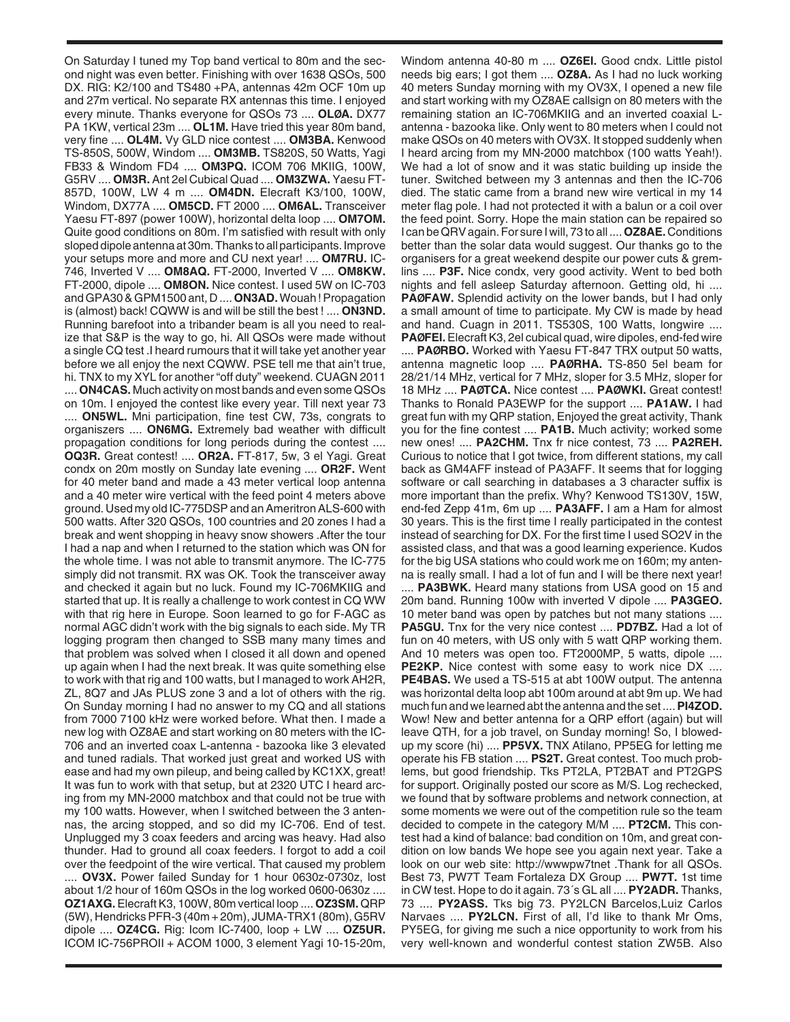On Saturday I tuned my Top band vertical to 80m and the second night was even better. Finishing with over 1638 QSOs, 500 DX. RIG: K2/100 and TS480 +PA, antennas 42m OCF 10m up and 27m vertical. No separate RX antennas this time. I enjoyed every minute. Thanks everyone for QSOs 73 .... **OLØA.** DX77 PA 1KW, vertical 23m .... **OL1M.** Have tried this year 80m band, very fine .... **OL4M.** Vy GLD nice contest .... **OM3BA.** Kenwood TS-850S, 500W, Windom .... **OM3MB.** TS820S, 50 Watts, Yagi FB33 & Windom FD4 .... **OM3PQ.** ICOM 706 MKIIG, 100W, G5RV .... **OM3R.** Ant 2el Cubical Quad .... **OM3ZWA.** Yaesu FT-857D, 100W, LW 4 m .... **OM4DN.** Elecraft K3/100, 100W, Windom, DX77A .... **OM5CD.** FT 2000 .... **OM6AL.** Transceiver Yaesu FT-897 (power 100W), horizontal delta loop .... **OM7OM.** Quite good conditions on 80m. I'm satisfied with result with only sloped dipole antenna at 30m. Thanks to all participants. Improve your setups more and more and CU next year! .... **OM7RU.** IC-746, Inverted V .... **OM8AQ.** FT-2000, Inverted V .... **OM8KW.** FT-2000, dipole .... **OM8ON.** Nice contest. I used 5W on IC-703 and GPA30 & GPM1500 ant, D .... **ON3AD.**Wouah ! Propagation is (almost) back! CQWW is and will be still the best ! .... **ON3ND.** Running barefoot into a tribander beam is all you need to realize that S&P is the way to go, hi. All QSOs were made without a single CQ test .I heard rumours that it will take yet another year before we all enjoy the next CQWW. PSE tell me that ain't true, hi. TNX to my XYL for another "off duty" weekend. CUAGN 2011 .... **ON4CAS.** Much activity on most bands and even some QSOs on 10m. I enjoyed the contest like every year. Till next year 73 .... **ON5WL.** Mni participation, fine test CW, 73s, congrats to organiszers .... **ON6MG.** Extremely bad weather with difficult propagation conditions for long periods during the contest .... **OQ3R.** Great contest! .... **OR2A.** FT-817, 5w, 3 el Yagi. Great condx on 20m mostly on Sunday late evening .... **OR2F.** Went for 40 meter band and made a 43 meter vertical loop antenna and a 40 meter wire vertical with the feed point 4 meters above ground. Used my old IC-775DSP and an Ameritron ALS-600 with 500 watts. After 320 QSOs, 100 countries and 20 zones I had a break and went shopping in heavy snow showers .After the tour I had a nap and when I returned to the station which was ON for the whole time. I was not able to transmit anymore. The IC-775 simply did not transmit. RX was OK. Took the transceiver away and checked it again but no luck. Found my IC-706MKIIG and started that up. It is really a challenge to work contest in CQ WW with that rig here in Europe. Soon learned to go for F-AGC as normal AGC didn't work with the big signals to each side. My TR logging program then changed to SSB many many times and that problem was solved when I closed it all down and opened up again when I had the next break. It was quite something else to work with that rig and 100 watts, but I managed to work AH2R, ZL, 8Q7 and JAs PLUS zone 3 and a lot of others with the rig. On Sunday morning I had no answer to my CQ and all stations from 7000 7100 kHz were worked before. What then. I made a new log with OZ8AE and start working on 80 meters with the IC-706 and an inverted coax L-antenna - bazooka like 3 elevated and tuned radials. That worked just great and worked US with ease and had my own pileup, and being called by KC1XX, great! It was fun to work with that setup, but at 2320 UTC I heard arcing from my MN-2000 matchbox and that could not be true with my 100 watts. However, when I switched between the 3 antennas, the arcing stopped, and so did my IC-706. End of test. Unplugged my 3 coax feeders and arcing was heavy. Had also thunder. Had to ground all coax feeders. I forgot to add a coil over the feedpoint of the wire vertical. That caused my problem .... **OV3X.** Power failed Sunday for 1 hour 0630z-0730z, lost about 1/2 hour of 160m QSOs in the log worked 0600-0630z .... **OZ1AXG.**Elecraft K3, 100W, 80m vertical loop .... **OZ3SM.** QRP (5W), Hendricks PFR-3 (40m + 20m), JUMA-TRX1 (80m), G5RV dipole .... **OZ4CG.** Rig: Icom IC-7400, loop + LW .... **OZ5UR.** ICOM IC-756PROII + ACOM 1000, 3 element Yagi 10-15-20m,

Windom antenna 40-80 m .... **OZ6EI.** Good cndx. Little pistol needs big ears; I got them .... **OZ8A.** As I had no luck working 40 meters Sunday morning with my OV3X, I opened a new file and start working with my OZ8AE callsign on 80 meters with the remaining station an IC-706MKIIG and an inverted coaxial Lantenna - bazooka like. Only went to 80 meters when I could not make QSOs on 40 meters with OV3X. It stopped suddenly when I heard arcing from my MN-2000 matchbox (100 watts Yeah!). We had a lot of snow and it was static building up inside the tuner. Switched between my 3 antennas and then the IC-706 died. The static came from a brand new wire vertical in my 14 meter flag pole. I had not protected it with a balun or a coil over the feed point. Sorry. Hope the main station can be repaired so I can be QRV again. For sure I will, 73 to all .... **OZ8AE.**Conditions better than the solar data would suggest. Our thanks go to the organisers for a great weekend despite our power cuts & gremlins .... **P3F.** Nice condx, very good activity. Went to bed both nights and fell asleep Saturday afternoon. Getting old, hi .... **PAØFAW.** Splendid activity on the lower bands, but I had only a small amount of time to participate. My CW is made by head and hand. Cuagn in 2011. TS530S, 100 Watts, longwire .... **PAØFEI.**Elecraft K3, 2el cubical quad, wire dipoles, end-fed wire .... **PAØRBO.** Worked with Yaesu FT-847 TRX output 50 watts, antenna magnetic loop .... **PAØRHA.** TS-850 5el beam for 28/21/14 MHz, vertical for 7 MHz, sloper for 3.5 MHz, sloper for 18 MHz .... **PAØTCA.** Nice contest .... **PAØWKI.** Great contest! Thanks to Ronald PA3EWP for the support .... **PA1AW.** I had great fun with my QRP station, Enjoyed the great activity, Thank you for the fine contest .... **PA1B.** Much activity; worked some new ones! .... **PA2CHM.** Tnx fr nice contest, 73 .... **PA2REH.** Curious to notice that I got twice, from different stations, my call back as GM4AFF instead of PA3AFF. It seems that for logging software or call searching in databases a 3 character suffix is more important than the prefix. Why? Kenwood TS130V, 15W, end-fed Zepp 41m, 6m up .... **PA3AFF.** I am a Ham for almost 30 years. This is the first time I really participated in the contest instead of searching for DX. For the first time I used SO2V in the assisted class, and that was a good learning experience. Kudos for the big USA stations who could work me on 160m; my antenna is really small. I had a lot of fun and I will be there next year! .... **PA3BWK.** Heard many stations from USA good on 15 and 20m band. Running 100w with inverted V dipole .... **PA3GEO.** 10 meter band was open by patches but not many stations .... **PA5GU.** Tnx for the very nice contest .... **PD7BZ.** Had a lot of fun on 40 meters, with US only with 5 watt QRP working them. And 10 meters was open too. FT2000MP, 5 watts, dipole .... **PE2KP.** Nice contest with some easy to work nice DX .... **PE4BAS.** We used a TS-515 at abt 100W output. The antenna was horizontal delta loop abt 100m around at abt 9m up. We had much fun and we learned abt the antenna and the set .... **PI4ZOD.** Wow! New and better antenna for a QRP effort (again) but will leave QTH, for a job travel, on Sunday morning! So, I blowedup my score (hi) .... **PP5VX.** TNX Atilano, PP5EG for letting me operate his FB station .... **PS2T.** Great contest. Too much problems, but good friendship. Tks PT2LA, PT2BAT and PT2GPS for support. Originally posted our score as M/S. Log rechecked, we found that by software problems and network connection, at some moments we were out of the competition rule so the team decided to compete in the category M/M .... **PT2CM.** This contest had a kind of balance: bad condition on 10m, and great condition on low bands We hope see you again next year. Take a look on our web site: http://wwwpw7tnet .Thank for all QSOs. Best 73, PW7T Team Fortaleza DX Group .... **PW7T.** 1st time in CW test. Hope to do it again. 73´s GL all .... **PY2ADR.** Thanks, 73 .... **PY2ASS.** Tks big 73. PY2LCN Barcelos,Luiz Carlos Narvaes .... **PY2LCN.** First of all, I'd like to thank Mr Oms, PY5EG, for giving me such a nice opportunity to work from his very well-known and wonderful contest station ZW5B. Also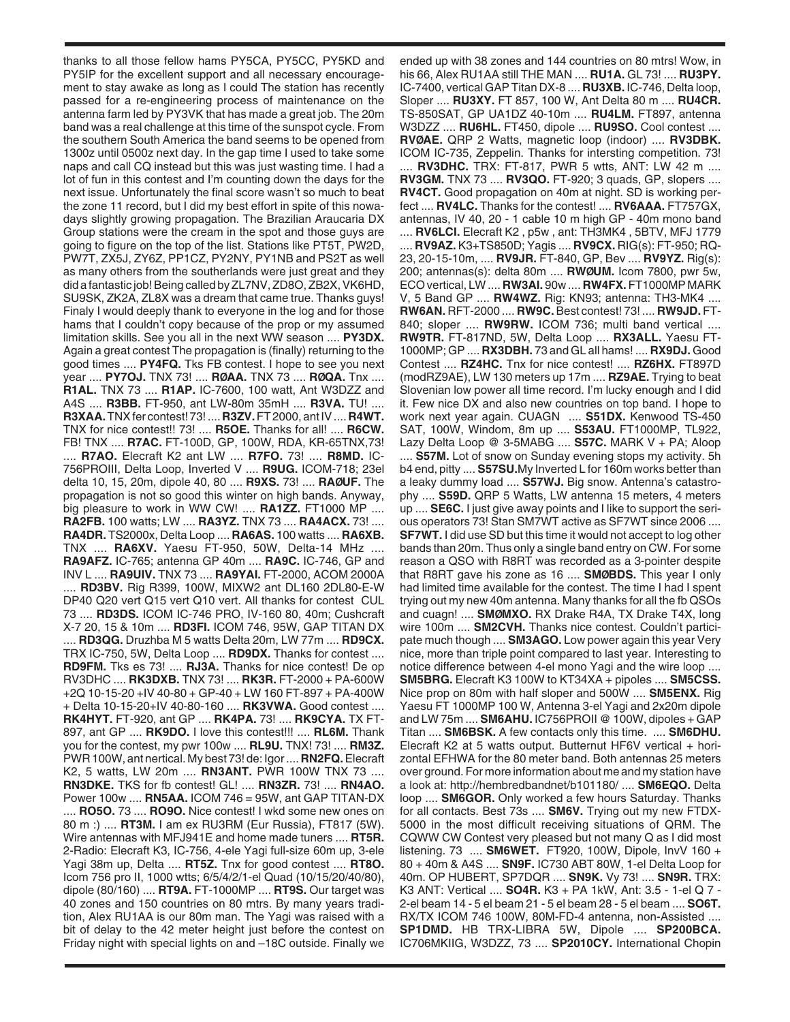thanks to all those fellow hams PY5CA, PY5CC, PY5KD and PY5IP for the excellent support and all necessary encouragement to stay awake as long as I could The station has recently passed for a re-engineering process of maintenance on the antenna farm led by PY3VK that has made a great job. The 20m band was a real challenge at this time of the sunspot cycle. From the southern South America the band seems to be opened from 1300z until 0500z next day. In the gap time I used to take some naps and call CQ instead but this was just wasting time. I had a lot of fun in this contest and I'm counting down the days for the next issue. Unfortunately the final score wasn't so much to beat the zone 11 record, but I did my best effort in spite of this nowadays slightly growing propagation. The Brazilian Araucaria DX Group stations were the cream in the spot and those guys are going to figure on the top of the list. Stations like PT5T, PW2D, PW7T, ZX5J, ZY6Z, PP1CZ, PY2NY, PY1NB and PS2T as well as many others from the southerlands were just great and they did a fantastic job! Being called by ZL7NV, ZD8O, ZB2X, VK6HD, SU9SK, ZK2A, ZL8X was a dream that came true. Thanks guys! Finaly I would deeply thank to everyone in the log and for those hams that I couldn't copy because of the prop or my assumed limitation skills. See you all in the next WW season .... **PY3DX.** Again a great contest The propagation is (finally) returning to the good times .... **PY4FQ.** Tks FB contest. I hope to see you next year .... **PY7OJ.** TNX 73! .... **RØAA.** TNX 73 .... **RØQA.** Tnx .... **R1AL.** TNX 73 .... **R1AP.** IC-7600, 100 watt, Ant W3DZZ and A4S .... **R3BB.** FT-950, ant LW-80m 35mH .... **R3VA.** TU! .... **R3XAA.**TNX fer contest! 73! .... **R3ZV.**FT 2000, ant IV .... **R4WT.** TNX for nice contest!! 73! .... **R5OE.** Thanks for all! .... **R6CW.** FB! TNX .... **R7AC.** FT-100D, GP, 100W, RDA, KR-65TNX,73! .... **R7AO.** Elecraft K2 ant LW .... **R7FO.** 73! .... **R8MD.** IC-756PROIII, Delta Loop, Inverted V .... **R9UG.** ICOM-718; 23el delta 10, 15, 20m, dipole 40, 80 .... **R9XS.** 73! .... **RAØUF.** The propagation is not so good this winter on high bands. Anyway, big pleasure to work in WW CW! .... **RA1ZZ.** FT1000 MP .... **RA2FB.** 100 watts; LW .... **RA3YZ.** TNX 73 .... **RA4ACX.** 73! .... **RA4DR.** TS2000x, Delta Loop .... **RA6AS.** 100 watts .... **RA6XB.** TNX .... **RA6XV.** Yaesu FT-950, 50W, Delta-14 MHz .... **RA9AFZ.** IC-765; antenna GP 40m .... **RA9C.** IC-746, GP and INV L .... **RA9UIV.** TNX 73 .... **RA9YAI.** FT-2000, ACOM 2000A .... **RD3BV.** Rig R399, 100W, MIXW2 ant DL160 2DL80-E-W DP40 Q20 vert Q15 vert Q10 vert. All thanks for contest CUL 73 .... **RD3DS.** ICOM IC-746 PRO, IV-160 80, 40m; Cushcraft X-7 20, 15 & 10m .... **RD3FI.** ICOM 746, 95W, GAP TITAN DX .... **RD3QG.** Druzhba M 5 watts Delta 20m, LW 77m .... **RD9CX.** TRX IC-750, 5W, Delta Loop .... **RD9DX.** Thanks for contest .... **RD9FM.** Tks es 73! .... **RJ3A.** Thanks for nice contest! De op RV3DHC .... **RK3DXB.** TNX 73! .... **RK3R.** FT-2000 + PA-600W +2Q 10-15-20 +IV 40-80 + GP-40 + LW 160 FT-897 + PA-400W + Delta 10-15-20+IV 40-80-160 .... **RK3VWA.** Good contest .... **RK4HYT.** FT-920, ant GP .... **RK4PA.** 73! .... **RK9CYA.** TX FT-897, ant GP .... **RK9DO.** I love this contest!!! .... **RL6M.** Thank you for the contest, my pwr 100w .... **RL9U.** TNX! 73! .... **RM3Z.** PWR 100W, ant nertical. My best 73! de: Igor .... **RN2FQ.**Elecraft K2, 5 watts, LW 20m .... **RN3ANT.** PWR 100W TNX 73 .... **RN3DKE.** TKS for fb contest! GL! .... **RN3ZR.** 73! .... **RN4AO.** Power 100w .... **RN5AA.** ICOM 746 = 95W, ant GAP TITAN-DX .... **RO5O.** 73 .... **RO9O.** Nice contest! I wkd some new ones on 80 m :) .... **RT3M.** I am ex RU3RM (Eur Russia), FT817 (5W). Wire antennas with MFJ941E and home made tuners .... **RT5R.** 2-Radio: Elecraft K3, IC-756, 4-ele Yagi full-size 60m up, 3-ele Yagi 38m up, Delta .... **RT5Z.** Tnx for good contest .... **RT8O.** Icom 756 pro II, 1000 wtts; 6/5/4/2/1-el Quad (10/15/20/40/80), dipole (80/160) .... **RT9A.** FT-1000MP .... **RT9S.** Our target was 40 zones and 150 countries on 80 mtrs. By many years tradition, Alex RU1AA is our 80m man. The Yagi was raised with a bit of delay to the 42 meter height just before the contest on Friday night with special lights on and –18C outside. Finally we

ended up with 38 zones and 144 countries on 80 mtrs! Wow, in his 66, Alex RU1AA still THE MAN .... **RU1A.** GL 73! .... **RU3PY.** IC-7400, vertical GAP Titan DX-8 .... **RU3XB.** IC-746, Delta loop, Sloper .... **RU3XY.** FT 857, 100 W, Ant Delta 80 m .... **RU4CR.** TS-850SAT, GP UA1DZ 40-10m .... **RU4LM.** FT897, antenna W3DZZ .... **RU6HL.** FT450, dipole .... **RU9SO.** Cool contest .... **RVØAE.** QRP 2 Watts, magnetic loop (indoor) .... **RV3DBK.** ICOM IC-735, Zeppelin. Thanks for intersting competition. 73! .... **RV3DHC.** TRX: FT-817, PWR 5 wtts, ANT: LW 42 m .... **RV3GM.** TNX 73 .... **RV3QO.** FT-920; 3 quads, GP, slopers .... **RV4CT.** Good propagation on 40m at night. SD is working perfect .... **RV4LC.** Thanks for the contest! .... **RV6AAA.** FT757GX, antennas, IV 40, 20 - 1 cable 10 m high GP - 40m mono band

.... **RV6LCI.** Elecraft K2 , p5w , ant: TH3MK4 , 5BTV, MFJ 1779 .... **RV9AZ.** K3+TS850D; Yagis .... **RV9CX.** RIG(s): FT-950; RQ-23, 20-15-10m, .... **RV9JR.** FT-840, GP, Bev .... **RV9YZ.** Rig(s): 200; antennas(s): delta 80m .... **RWØUM.** Icom 7800, pwr 5w, ECO vertical, LW .... **RW3AI.** 90w .... **RW4FX.** FT1000MP MARK V, 5 Band GP .... **RW4WZ.** Rig: KN93; antenna: TH3-MK4 .... **RW6AN.** RFT-2000 .... **RW9C.** Best contest! 73! .... **RW9JD.** FT-840; sloper .... **RW9RW.** ICOM 736; multi band vertical .... **RW9TR.** FT-817ND, 5W, Delta Loop .... **RX3ALL.** Yaesu FT-1000MP; GP .... **RX3DBH.** 73 and GL all hams! .... **RX9DJ.** Good Contest .... **RZ4HC.** Tnx for nice contest! .... **RZ6HX.** FT897D (modRZ9AE), LW 130 meters up 17m .... **RZ9AE.** Trying to beat Slovenian low power all time record. I'm lucky enough and I did it. Few nice DX and also new countries on top band. I hope to work next year again. CUAGN .... **S51DX.** Kenwood TS-450 SAT, 100W, Windom, 8m up .... **S53AU.** FT1000MP, TL922, Lazy Delta Loop @ 3-5MABG .... **S57C.** MARK V + PA; Aloop

.... **S57M.** Lot of snow on Sunday evening stops my activity. 5h b4 end, pitty .... **S57SU.**My Inverted L for 160m works better than a leaky dummy load .... **S57WJ.** Big snow. Antenna's catastrophy .... **S59D.** QRP 5 Watts, LW antenna 15 meters, 4 meters up .... **SE6C.** I just give away points and I like to support the serious operators 73! Stan SM7WT active as SF7WT since 2006 .... **SF7WT.** I did use SD but this time it would not accept to log other bands than 20m. Thus only a single band entry on CW. For some reason a QSO with R8RT was recorded as a 3-pointer despite that R8RT gave his zone as 16 .... **SMØBDS.** This year I only had limited time available for the contest. The time I had I spent trying out my new 40m antenna. Many thanks for all the fb QSOs and cuagn! .... **SMØMXO.** RX Drake R4A, TX Drake T4X, long wire 100m .... **SM2CVH.** Thanks nice contest. Couldn't participate much though .... **SM3AGO.** Low power again this year Very nice, more than triple point compared to last year. Interesting to notice difference between 4-el mono Yagi and the wire loop .... **SM5BRG.** Elecraft K3 100W to KT34XA + pipoles .... **SM5CSS.** Nice prop on 80m with half sloper and 500W .... **SM5ENX.** Rig Yaesu FT 1000MP 100 W, Antenna 3-el Yagi and 2x20m dipole and LW 75m .... **SM6AHU.** IC756PROII @ 100W, dipoles + GAP Titan .... **SM6BSK.** A few contacts only this time. .... **SM6DHU.** Elecraft K2 at 5 watts output. Butternut HF6V vertical + horizontal EFHWA for the 80 meter band. Both antennas 25 meters over ground. For more information about me and my station have a look at: http://hembredbandnet/b101180/ .... **SM6EQO.** Delta loop .... **SM6GOR.** Only worked a few hours Saturday. Thanks for all contacts. Best 73s .... **SM6V.** Trying out my new FTDX-5000 in the most difficult receiving situations of QRM. The CQWW CW Contest very pleased but not many Q as I did most listening. 73 .... **SM6WET.** FT920, 100W, Dipole, InvV 160 + 80 + 40m & A4S .... **SN9F.** IC730 ABT 80W, 1-el Delta Loop for 40m. OP HUBERT, SP7DQR .... **SN9K.** Vy 73! .... **SN9R.** TRX: K3 ANT: Vertical .... **SO4R.** K3 + PA 1kW, Ant: 3.5 - 1-el Q 7 - 2-el beam 14 - 5 el beam 21 - 5 el beam 28 - 5 el beam .... **SO6T.** RX/TX ICOM 746 100W, 80M-FD-4 antenna, non-Assisted .... **SP1DMD.** HB TRX-LIBRA 5W, Dipole .... **SP200BCA.** IC706MKIIG, W3DZZ, 73 .... **SP2010CY.** International Chopin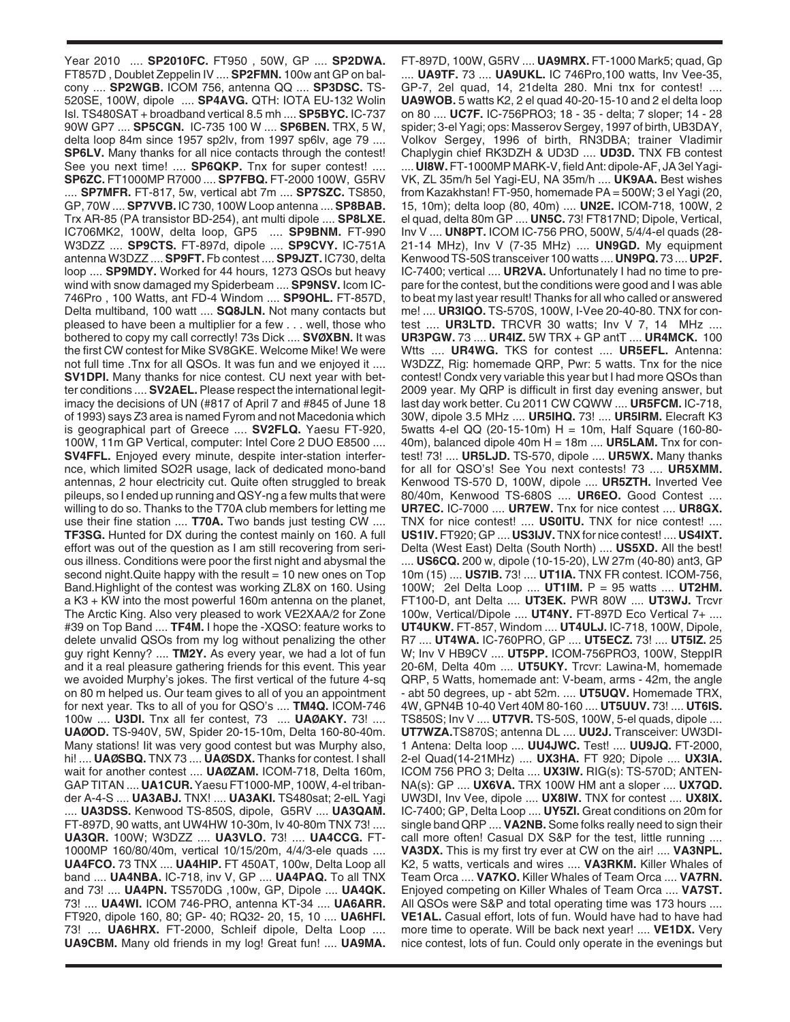Year 2010 .... **SP2010FC.** FT950 , 50W, GP .... **SP2DWA.** FT857D , Doublet Zeppelin IV .... **SP2FMN.** 100w ant GP on balcony .... **SP2WGB.** ICOM 756, antenna QQ .... **SP3DSC.** TS-520SE, 100W, dipole .... **SP4AVG.** QTH: IOTA EU-132 Wolin Isl. TS480SAT + broadband vertical 8.5 mh .... **SP5BYC.** IC-737 90W GP7 .... **SP5CGN.** IC-735 100 W .... **SP6BEN.** TRX, 5 W, delta loop 84m since 1957 sp2lv, from 1997 sp6lv, age 79 .... **SP6LV.** Many thanks for all nice contacts through the contest! See you next time! .... **SP6QKP.** Tnx for super contest! .... **SP6ZC.** FT1000MP R7000 .... **SP7FBQ.** FT-2000 100W, G5RV .... **SP7MFR.** FT-817, 5w, vertical abt 7m .... **SP7SZC.** TS850, GP, 70W .... **SP7VVB.** IC 730, 100W Loop antenna .... **SP8BAB.** Trx AR-85 (PA transistor BD-254), ant multi dipole .... **SP8LXE.** IC706MK2, 100W, delta loop, GP5 .... **SP9BNM.** FT-990 W3DZZ .... **SP9CTS.** FT-897d, dipole .... **SP9CVY.** IC-751A antenna W3DZZ .... **SP9FT.** Fb contest .... **SP9JZT.** IC730, delta loop .... **SP9MDY.** Worked for 44 hours, 1273 QSOs but heavy wind with snow damaged my Spiderbeam .... **SP9NSV.** Icom IC-746Pro , 100 Watts, ant FD-4 Windom .... **SP9OHL.** FT-857D, Delta multiband, 100 watt .... **SQ8JLN.** Not many contacts but pleased to have been a multiplier for a few . . . well, those who bothered to copy my call correctly! 73s Dick .... **SVØXBN.** It was the first CW contest for Mike SV8GKE. Welcome Mike! We were not full time .Tnx for all QSOs. It was fun and we enjoyed it .... **SV1DPI.** Many thanks for nice contest. CU next year with better conditions .... **SV2AEL.** Please respect the international legitimacy the decisions of UN (#817 of April 7 and #845 of June 18 of 1993) says Z3 area is named Fyrom and not Macedonia which is geographical part of Greece .... **SV2FLQ.** Yaesu FT-920, 100W, 11m GP Vertical, computer: Intel Core 2 DUO E8500 .... **SV4FFL.** Enjoyed every minute, despite inter-station interfernce, which limited SO2R usage, lack of dedicated mono-band antennas, 2 hour electricity cut. Quite often struggled to break pileups, so I ended up running and QSY-ng a few mults that were willing to do so. Thanks to the T70A club members for letting me use their fine station .... **T70A.** Two bands just testing CW .... **TF3SG.** Hunted for DX during the contest mainly on 160. A full effort was out of the question as I am still recovering from serious illness. Conditions were poor the first night and abysmal the second night. Quite happy with the result = 10 new ones on Top Band.Highlight of the contest was working ZL8X on 160. Using a K3 + KW into the most powerful 160m antenna on the planet, The Arctic King. Also very pleased to work VE2XAA/2 for Zone #39 on Top Band .... **TF4M.** I hope the -XQSO: feature works to delete unvalid QSOs from my log without penalizing the other guy right Kenny? .... **TM2Y.** As every year, we had a lot of fun and it a real pleasure gathering friends for this event. This year we avoided Murphy's jokes. The first vertical of the future 4-sq on 80 m helped us. Our team gives to all of you an appointment for next year. Tks to all of you for QSO's .... **TM4Q.** ICOM-746 100w .... **U3DI.** Tnx all fer contest, 73 .... **UAØAKY.** 73! .... **UAØOD.** TS-940V, 5W, Spider 20-15-10m, Delta 160-80-40m. Many stations! Iit was very good contest but was Murphy also, hi! .... **UAØSBQ.** TNX 73 .... **UAØSDX.** Thanks for contest. I shall wait for another contest .... **UAØZAM.** ICOM-718, Delta 160m, GAP TITAN .... **UA1CUR.**Yaesu FT1000-MP, 100W, 4-el tribander A-4-S .... **UA3ABJ.** TNX! .... **UA3AKI.** TS480sat; 2-elL Yagi .... **UA3DSS.** Kenwood TS-850S, dipole, G5RV .... **UA3QAM.** FT-897D, 90 watts, ant UW4HW 10-30m, Iv 40-80m TNX 73! .... **UA3QR.** 100W; W3DZZ .... **UA3VLO.** 73! .... **UA4CCG.** FT-1000MP 160/80/40m, vertical 10/15/20m, 4/4/3-ele quads .... **UA4FCO.** 73 TNX .... **UA4HIP.** FT 450AT, 100w, Delta Loop all band .... **UA4NBA.** IC-718, inv V, GP .... **UA4PAQ.** To all TNX and 73! .... **UA4PN.** TS570DG ,100w, GP, Dipole .... **UA4QK.** 73! .... **UA4WI.** ICOM 746-PRO, antenna KT-34 .... **UA6ARR.** FT920, dipole 160, 80; GP- 40; RQ32- 20, 15, 10 .... **UA6HFI.** 73! .... **UA6HRX.** FT-2000, Schleif dipole, Delta Loop .... **UA9CBM.** Many old friends in my log! Great fun! .... **UA9MA.**

FT-897D, 100W, G5RV .... **UA9MRX.** FT-1000 Mark5; quad, Gp .... **UA9TF.** 73 .... **UA9UKL.** IC 746Pro,100 watts, Inv Vee-35, GP-7, 2el quad, 14, 21delta 280. Mni tnx for contest! .... **UA9WOB.** 5 watts K2, 2 el quad 40-20-15-10 and 2 el delta loop on 80 .... **UC7F.** IC-756PRO3; 18 - 35 - delta; 7 sloper; 14 - 28 spider; 3-el Yagi; ops: Masserov Sergey, 1997 of birth, UB3DAY, Volkov Sergey, 1996 of birth, RN3DBA; trainer Vladimir Chaplygin chief RK3DZH & UD3D .... **UD3D.** TNX FB contest .... **UI8W.**FT-1000MP MARK-V, field Ant: dipole-AF, JA 3el Yagi-VK, ZL 35m/h 5el Yagi-EU, NA 35m/h .... **UK9AA.** Best wishes from Kazakhstan! FT-950, homemade PA = 500W; 3 el Yagi (20, 15, 10m); delta loop (80, 40m) .... **UN2E.** ICOM-718, 100W, 2 el quad, delta 80m GP .... **UN5C.** 73! FT817ND; Dipole, Vertical, Inv V .... **UN8PT.** ICOM IC-756 PRO, 500W, 5/4/4-el quads (28- 21-14 MHz), Inv V (7-35 MHz) .... **UN9GD.** My equipment Kenwood TS-50S transceiver 100 watts .... **UN9PQ.** 73 .... **UP2F.** IC-7400; vertical .... **UR2VA.** Unfortunately I had no time to prepare for the contest, but the conditions were good and I was able to beat my last year result! Thanks for all who called or answered me! .... **UR3IQO.** TS-570S, 100W, I-Vee 20-40-80. TNX for contest .... **UR3LTD.** TRCVR 30 watts; Inv V 7, 14 MHz .... **UR3PGW.** 73 .... **UR4IZ.** 5W TRX + GP antT .... **UR4MCK.** 100 Wtts .... **UR4WG.** TKS for contest .... **UR5EFL.** Antenna: W3DZZ, Rig: homemade QRP, Pwr: 5 watts. Tnx for the nice contest! Condx very variable this year but I had more QSOs than 2009 year. My QRP is difficult in first day evening answer, but last day work better. Cu 2011 CW CQWW .... **UR5FCM.** IC-718, 30W, dipole 3.5 MHz .... **UR5IHQ.** 73! .... **UR5IRM.** Elecraft K3 5watts 4-el QQ (20-15-10m) H = 10m, Half Square (160-80- 40m), balanced dipole 40m H = 18m .... **UR5LAM.** Tnx for contest! 73! .... **UR5LJD.** TS-570, dipole .... **UR5WX.** Many thanks for all for QSO's! See You next contests! 73 .... **UR5XMM.** Kenwood TS-570 D, 100W, dipole .... **UR5ZTH.** Inverted Vee 80/40m, Kenwood TS-680S .... **UR6EO.** Good Contest .... **UR7EC.** IC-7000 .... **UR7EW.** Tnx for nice contest .... **UR8GX.** TNX for nice contest! .... **US0ITU.** TNX for nice contest! .... **US1IV.** FT920; GP .... **US3IJV.** TNX for nice contest! .... **US4IXT.** Delta (West East) Delta (South North) .... **US5XD.** All the best! .... **US6CQ.** 200 w, dipole (10-15-20), LW 27m (40-80) ant3, GP 10m (15) .... **US7IB.** 73! .... **UT1IA.** TNX FR contest. ICOM-756, 100W; 2el Delta Loop .... **UT1IM.** P = 95 watts .... **UT2HM.** FT100-D, ant Delta .... **UT3EK.** PWR 80W .... **UT3WJ.** Trcvr 100w, Vertical/Dipole .... **UT4NY.** FT-897D Eco Vertical 7+ .... **UT4UKW.** FT-857, Windom .... **UT4ULJ.** IC-718, 100W, Dipole, R7 .... **UT4WA.** IC-760PRO, GP .... **UT5ECZ.** 73! .... **UT5IZ.** 25 W; Inv V HB9CV .... **UT5PP.** ICOM-756PRO3, 100W, SteppIR 20-6M, Delta 40m .... **UT5UKY.** Trcvr: Lawina-M, homemade QRP, 5 Watts, homemade ant: V-beam, arms - 42m, the angle - abt 50 degrees, up - abt 52m. .... **UT5UQV.** Homemade TRX, 4W, GPN4B 10-40 Vert 40M 80-160 .... **UT5UUV.** 73! .... **UT6IS.** TS850S; Inv V .... **UT7VR.** TS-50S, 100W, 5-el quads, dipole .... **UT7WZA.**TS870S; antenna DL .... **UU2J.** Transceiver: UW3DI-1 Antena: Delta loop .... **UU4JWC.** Test! .... **UU9JQ.** FT-2000, 2-el Quad(14-21MHz) .... **UX3HA.** FT 920; Dipole .... **UX3IA.** ICOM 756 PRO 3; Delta .... **UX3IW.** RIG(s): TS-570D; ANTEN-NA(s): GP .... **UX6VA.** TRX 100W HM ant a sloper .... **UX7QD.** UW3DI, Inv Vee, dipole .... **UX8IW.** TNX for contest .... **UX8IX.** IC-7400; GP, Delta Loop .... **UY5ZI.** Great conditions on 20m for single band QRP .... **VA2NB.** Some folks really need to sign their call more often! Casual DX S&P for the test, little running .... **VA3DX.** This is my first try ever at CW on the air! .... **VA3NPL.** K2, 5 watts, verticals and wires .... **VA3RKM.** Killer Whales of Team Orca .... **VA7KO.** Killer Whales of Team Orca .... **VA7RN.** Enjoyed competing on Killer Whales of Team Orca .... **VA7ST.** All QSOs were S&P and total operating time was 173 hours .... **VE1AL.** Casual effort, lots of fun. Would have had to have had more time to operate. Will be back next year! .... **VE1DX.** Very nice contest, lots of fun. Could only operate in the evenings but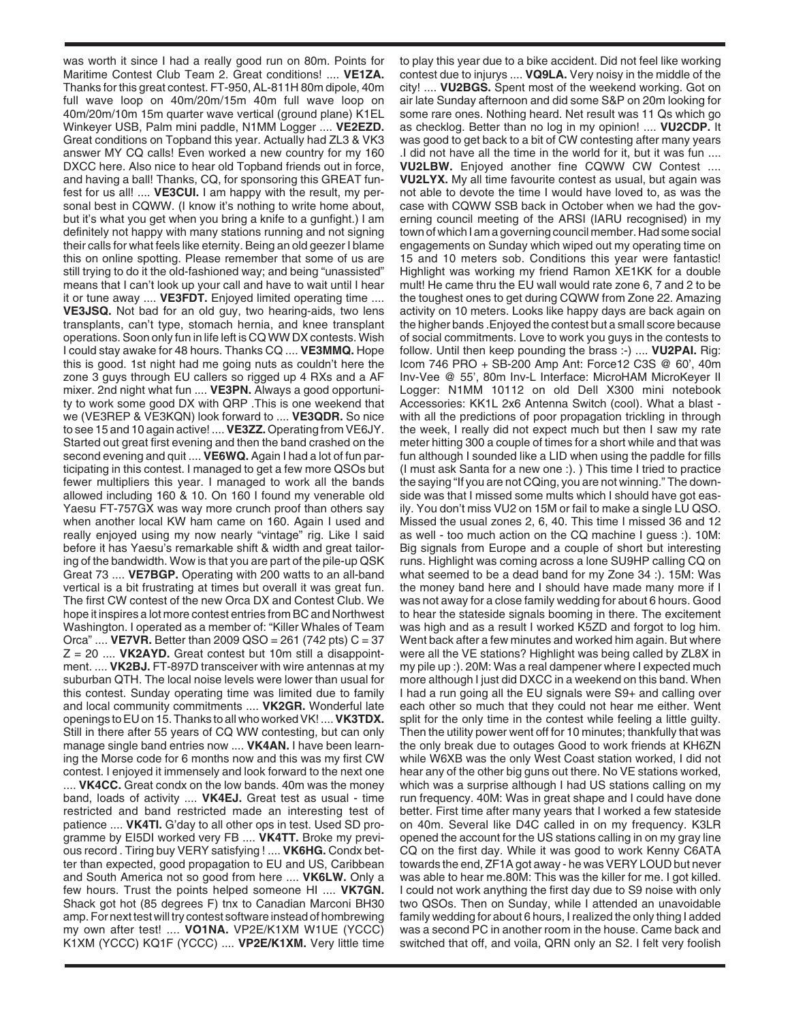was worth it since I had a really good run on 80m. Points for Maritime Contest Club Team 2. Great conditions! .... **VE1ZA.** Thanks for this great contest. FT-950, AL-811H 80m dipole, 40m full wave loop on 40m/20m/15m 40m full wave loop on 40m/20m/10m 15m quarter wave vertical (ground plane) K1EL Winkeyer USB, Palm mini paddle, N1MM Logger .... **VE2EZD.** Great conditions on Topband this year. Actually had ZL3 & VK3 answer MY CQ calls! Even worked a new country for my 160 DXCC here. Also nice to hear old Topband friends out in force, and having a ball! Thanks, CQ, for sponsoring this GREAT funfest for us all! .... **VE3CUI.** I am happy with the result, my personal best in CQWW. (I know it's nothing to write home about, but it's what you get when you bring a knife to a gunfight.) I am definitely not happy with many stations running and not signing their calls for what feels like eternity. Being an old geezer I blame this on online spotting. Please remember that some of us are still trying to do it the old-fashioned way; and being "unassisted" means that I can't look up your call and have to wait until I hear it or tune away .... **VE3FDT.** Enjoyed limited operating time .... **VE3JSQ.** Not bad for an old guy, two hearing-aids, two lens transplants, can't type, stomach hernia, and knee transplant operations. Soon only fun in life left is CQ WW DX contests. Wish I could stay awake for 48 hours. Thanks CQ .... **VE3MMQ.** Hope this is good. 1st night had me going nuts as couldn't here the zone 3 guys through EU callers so rigged up 4 RXs and a AF mixer. 2nd night what fun .... **VE3PN.** Always a good opportunity to work some good DX with QRP .This is one weekend that we (VE3REP & VE3KQN) look forward to .... **VE3QDR.** So nice to see 15 and 10 again active! .... **VE3ZZ.** Operating from VE6JY. Started out great first evening and then the band crashed on the second evening and quit .... **VE6WQ.** Again I had a lot of fun participating in this contest. I managed to get a few more QSOs but fewer multipliers this year. I managed to work all the bands allowed including 160 & 10. On 160 I found my venerable old Yaesu FT-757GX was way more crunch proof than others say when another local KW ham came on 160. Again I used and really enjoyed using my now nearly "vintage" rig. Like I said before it has Yaesu's remarkable shift & width and great tailoring of the bandwidth. Wow is that you are part of the pile-up QSK Great 73 .... **VE7BGP.** Operating with 200 watts to an all-band vertical is a bit frustrating at times but overall it was great fun. The first CW contest of the new Orca DX and Contest Club. We hope it inspires a lot more contest entries from BC and Northwest Washington. I operated as a member of: "Killer Whales of Team Orca" .... **VE7VR.** Better than 2009 QSO = 261 (742 pts) C = 37  $Z = 20$  .... **VK2AYD.** Great contest but 10m still a disappointment. .... **VK2BJ.** FT-897D transceiver with wire antennas at my suburban QTH. The local noise levels were lower than usual for this contest. Sunday operating time was limited due to family and local community commitments .... **VK2GR.** Wonderful late openings to EU on 15. Thanks to all who worked VK! .... **VK3TDX.** Still in there after 55 years of CQ WW contesting, but can only manage single band entries now .... **VK4AN.** I have been learning the Morse code for 6 months now and this was my first CW contest. I enjoyed it immensely and look forward to the next one .... **VK4CC.** Great condx on the low bands. 40m was the money band, loads of activity .... **VK4EJ.** Great test as usual - time restricted and band restricted made an interesting test of patience .... **VK4TI.** G'day to all other ops in test. Used SD programme by EI5DI worked very FB .... **VK4TT.** Broke my previous record . Tiring buy VERY satisfying ! .... **VK6HG.** Condx better than expected, good propagation to EU and US, Caribbean and South America not so good from here .... **VK6LW.** Only a few hours. Trust the points helped someone HI .... **VK7GN.** Shack got hot (85 degrees F) tnx to Canadian Marconi BH30 amp. For next test will try contest software instead of hombrewing my own after test! .... **VO1NA.** VP2E/K1XM W1UE (YCCC) K1XM (YCCC) KQ1F (YCCC) .... **VP2E/K1XM.** Very little time

to play this year due to a bike accident. Did not feel like working contest due to injurys .... **VQ9LA.** Very noisy in the middle of the city! .... **VU2BGS.** Spent most of the weekend working. Got on air late Sunday afternoon and did some S&P on 20m looking for some rare ones. Nothing heard. Net result was 11 Qs which go as checklog. Better than no log in my opinion! .... **VU2CDP.** It was good to get back to a bit of CW contesting after many years .I did not have all the time in the world for it, but it was fun .... **VU2LBW.** Enjoyed another fine CQWW CW Contest .... **VU2LYX.** My all time favourite contest as usual, but again was not able to devote the time I would have loved to, as was the case with CQWW SSB back in October when we had the governing council meeting of the ARSI (IARU recognised) in my town of which I am a governing council member. Had some social engagements on Sunday which wiped out my operating time on 15 and 10 meters sob. Conditions this year were fantastic! Highlight was working my friend Ramon XE1KK for a double mult! He came thru the EU wall would rate zone 6, 7 and 2 to be the toughest ones to get during CQWW from Zone 22. Amazing activity on 10 meters. Looks like happy days are back again on the higher bands .Enjoyed the contest but a small score because of social commitments. Love to work you guys in the contests to follow. Until then keep pounding the brass :-) .... **VU2PAI.** Rig: Icom 746 PRO + SB-200 Amp Ant: Force12 C3S @ 60', 40m Inv-Vee @ 55', 80m Inv-L Interface: MicroHAM MicroKeyer II Logger: N1MM 10112 on old Dell X300 mini notebook Accessories: KK1L 2x6 Antenna Switch (cool). What a blast with all the predictions of poor propagation trickling in through the week, I really did not expect much but then I saw my rate meter hitting 300 a couple of times for a short while and that was fun although I sounded like a LID when using the paddle for fills (I must ask Santa for a new one :). ) This time I tried to practice the saying "If you are not CQing, you are not winning." The downside was that I missed some mults which I should have got easily. You don't miss VU2 on 15M or fail to make a single LU QSO. Missed the usual zones 2, 6, 40. This time I missed 36 and 12 as well - too much action on the CQ machine I guess :). 10M: Big signals from Europe and a couple of short but interesting runs. Highlight was coming across a lone SU9HP calling CQ on what seemed to be a dead band for my Zone 34 :). 15M: Was the money band here and I should have made many more if I was not away for a close family wedding for about 6 hours. Good to hear the stateside signals booming in there. The excitement was high and as a result I worked K5ZD and forgot to log him. Went back after a few minutes and worked him again. But where were all the VE stations? Highlight was being called by ZL8X in my pile up :). 20M: Was a real dampener where I expected much more although I just did DXCC in a weekend on this band. When I had a run going all the EU signals were S9+ and calling over each other so much that they could not hear me either. Went split for the only time in the contest while feeling a little guilty. Then the utility power went off for 10 minutes; thankfully that was the only break due to outages Good to work friends at KH6ZN while W6XB was the only West Coast station worked, I did not hear any of the other big guns out there. No VE stations worked, which was a surprise although I had US stations calling on my run frequency. 40M: Was in great shape and I could have done better. First time after many years that I worked a few stateside on 40m. Several like D4C called in on my frequency. K3LR opened the account for the US stations calling in on my gray line CQ on the first day. While it was good to work Kenny C6ATA towards the end, ZF1A got away - he was VERY LOUD but never was able to hear me.80M: This was the killer for me. I got killed. I could not work anything the first day due to S9 noise with only two QSOs. Then on Sunday, while I attended an unavoidable family wedding for about 6 hours, I realized the only thing I added was a second PC in another room in the house. Came back and switched that off, and voila, QRN only an S2. I felt very foolish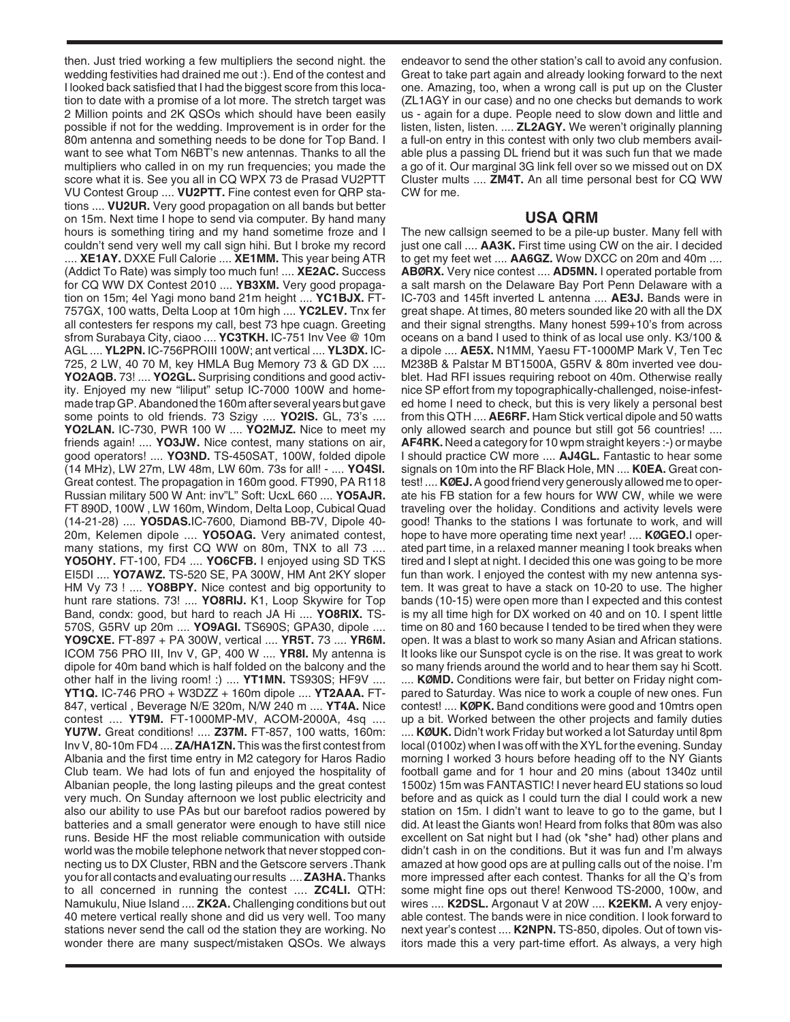then. Just tried working a few multipliers the second night. the wedding festivities had drained me out :). End of the contest and I looked back satisfied that I had the biggest score from this location to date with a promise of a lot more. The stretch target was 2 Million points and 2K QSOs which should have been easily possible if not for the wedding. Improvement is in order for the 80m antenna and something needs to be done for Top Band. I want to see what Tom N6BT's new antennas. Thanks to all the multipliers who called in on my run frequencies; you made the score what it is. See you all in CQ WPX 73 de Prasad VU2PTT VU Contest Group .... **VU2PTT.** Fine contest even for QRP stations .... **VU2UR.** Very good propagation on all bands but better on 15m. Next time I hope to send via computer. By hand many hours is something tiring and my hand sometime froze and I couldn't send very well my call sign hihi. But I broke my record .... **XE1AY.** DXXE Full Calorie .... **XE1MM.** This year being ATR (Addict To Rate) was simply too much fun! .... **XE2AC.** Success for CQ WW DX Contest 2010 .... **YB3XM.** Very good propagation on 15m; 4el Yagi mono band 21m height .... **YC1BJX.** FT-757GX, 100 watts, Delta Loop at 10m high .... **YC2LEV.** Tnx fer all contesters fer respons my call, best 73 hpe cuagn. Greeting sfrom Surabaya City, ciaoo .... **YC3TKH.** IC-751 Inv Vee @ 10m AGL .... **YL2PN.** IC-756PROIII 100W; ant vertical .... **YL3DX.** IC-725, 2 LW, 40 70 M, key HMLA Bug Memory 73 & GD DX .... **YO2AQB.** 73! .... **YO2GL.** Surprising conditions and good activity. Enjoyed my new "liliput" setup IC-7000 100W and homemade trap GP. Abandoned the 160m after several years but gave some points to old friends. 73 Szigy .... **YO2IS.** GL, 73's .... **YO2LAN.** IC-730, PWR 100 W .... **YO2MJZ.** Nice to meet my friends again! .... **YO3JW.** Nice contest, many stations on air, good operators! .... **YO3ND.** TS-450SAT, 100W, folded dipole (14 MHz), LW 27m, LW 48m, LW 60m. 73s for all! - .... **YO4SI.** Great contest. The propagation in 160m good. FT990, PA R118 Russian military 500 W Ant: inv"L" Soft: UcxL 660 .... **YO5AJR.** FT 890D, 100W , LW 160m, Windom, Delta Loop, Cubical Quad (14-21-28) .... **YO5DAS.**IC-7600, Diamond BB-7V, Dipole 40- 20m, Kelemen dipole .... **YO5OAG.** Very animated contest, many stations, my first CQ WW on 80m, TNX to all 73 .... **YO5OHY.** FT-100, FD4 .... **YO6CFB.** I enjoyed using SD TKS EI5DI .... **YO7AWZ.** TS-520 SE, PA 300W, HM Ant 2KY sloper HM Vy 73 ! .... **YO8BPY.** Nice contest and big opportunity to hunt rare stations. 73! .... **YO8RIJ.** K1, Loop Skywire for Top Band, condx: good, but hard to reach JA Hi .... **YO8RIX.** TS-570S, G5RV up 20m .... **YO9AGI.** TS690S; GPA30, dipole .... **YO9CXE.** FT-897 + PA 300W, vertical .... **YR5T.** 73 .... **YR6M.** ICOM 756 PRO III, Inv V, GP, 400 W .... **YR8I.** My antenna is dipole for 40m band which is half folded on the balcony and the other half in the living room! :) .... **YT1MN.** TS930S; HF9V .... **YT1Q.** IC-746 PRO + W3DZZ + 160m dipole .... **YT2AAA.** FT-847, vertical , Beverage N/E 320m, N/W 240 m .... **YT4A.** Nice contest .... **YT9M.** FT-1000MP-MV, ACOM-2000A, 4sq .... **YU7W.** Great conditions! .... **Z37M.** FT-857, 100 watts, 160m: Inv V, 80-10m FD4 .... **ZA/HA1ZN.** This was the first contest from Albania and the first time entry in M2 category for Haros Radio Club team. We had lots of fun and enjoyed the hospitality of Albanian people, the long lasting pileups and the great contest very much. On Sunday afternoon we lost public electricity and also our ability to use PAs but our barefoot radios powered by batteries and a small generator were enough to have still nice runs. Beside HF the most reliable communication with outside world was the mobile telephone network that never stopped connecting us to DX Cluster, RBN and the Getscore servers .Thank you for all contacts and evaluating our results .... **ZA3HA.**Thanks to all concerned in running the contest .... **ZC4LI.** QTH: Namukulu, Niue Island .... **ZK2A.** Challenging conditions but out 40 metere vertical really shone and did us very well. Too many stations never send the call od the station they are working. No wonder there are many suspect/mistaken QSOs. We always

endeavor to send the other station's call to avoid any confusion. Great to take part again and already looking forward to the next one. Amazing, too, when a wrong call is put up on the Cluster (ZL1AGY in our case) and no one checks but demands to work us - again for a dupe. People need to slow down and little and listen, listen, listen. .... **ZL2AGY.** We weren't originally planning a full-on entry in this contest with only two club members available plus a passing DL friend but it was such fun that we made a go of it. Our marginal 3G link fell over so we missed out on DX Cluster mults .... **ZM4T.** An all time personal best for CQ WW CW for me.

## **USA QRM**

The new callsign seemed to be a pile-up buster. Many fell with just one call .... **AA3K.** First time using CW on the air. I decided to get my feet wet .... **AA6GZ.** Wow DXCC on 20m and 40m .... **ABØRX.** Very nice contest .... **AD5MN.** I operated portable from a salt marsh on the Delaware Bay Port Penn Delaware with a IC-703 and 145ft inverted L antenna .... **AE3J.** Bands were in great shape. At times, 80 meters sounded like 20 with all the DX and their signal strengths. Many honest 599+10's from across oceans on a band I used to think of as local use only. K3/100 & a dipole .... **AE5X.** N1MM, Yaesu FT-1000MP Mark V, Ten Tec M238B & Palstar M BT1500A, G5RV & 80m inverted vee doublet. Had RFI issues requiring reboot on 40m. Otherwise really nice SP effort from my topographically-challenged, noise-infested home I need to check, but this is very likely a personal best from this QTH .... **AE6RF.** Ham Stick vertical dipole and 50 watts only allowed search and pounce but still got 56 countries! .... **AF4RK.** Need a category for 10 wpm straight keyers :-) or maybe I should practice CW more .... **AJ4GL.** Fantastic to hear some signals on 10m into the RF Black Hole, MN .... **K0EA.** Great contest! .... **KØEJ.**A good friend very generously allowed me to operate his FB station for a few hours for WW CW, while we were traveling over the holiday. Conditions and activity levels were good! Thanks to the stations I was fortunate to work, and will hope to have more operating time next year! .... **KØGEO.**I operated part time, in a relaxed manner meaning I took breaks when tired and I slept at night. I decided this one was going to be more fun than work. I enjoyed the contest with my new antenna system. It was great to have a stack on 10-20 to use. The higher bands (10-15) were open more than I expected and this contest is my all time high for DX worked on 40 and on 10. I spent little time on 80 and 160 because I tended to be tired when they were open. It was a blast to work so many Asian and African stations. It looks like our Sunspot cycle is on the rise. It was great to work so many friends around the world and to hear them say hi Scott.

.... **KØMD.** Conditions were fair, but better on Friday night compared to Saturday. Was nice to work a couple of new ones. Fun contest! .... **KØPK.** Band conditions were good and 10mtrs open up a bit. Worked between the other projects and family duties .... **KØUK.** Didn't work Friday but worked a lot Saturday until 8pm local (0100z) when I was off with the XYL for the evening. Sunday morning I worked 3 hours before heading off to the NY Giants football game and for 1 hour and 20 mins (about 1340z until 1500z) 15m was FANTASTIC! I never heard EU stations so loud before and as quick as I could turn the dial I could work a new station on 15m. I didn't want to leave to go to the game, but I did. At least the Giants won! Heard from folks that 80m was also excellent on Sat night but I had (ok \*she\* had) other plans and didn't cash in on the conditions. But it was fun and I'm always amazed at how good ops are at pulling calls out of the noise. I'm more impressed after each contest. Thanks for all the Q's from some might fine ops out there! Kenwood TS-2000, 100w, and wires .... **K2DSL.** Argonaut V at 20W .... **K2EKM.** A very enjoyable contest. The bands were in nice condition. I look forward to next year's contest .... **K2NPN.** TS-850, dipoles. Out of town visitors made this a very part-time effort. As always, a very high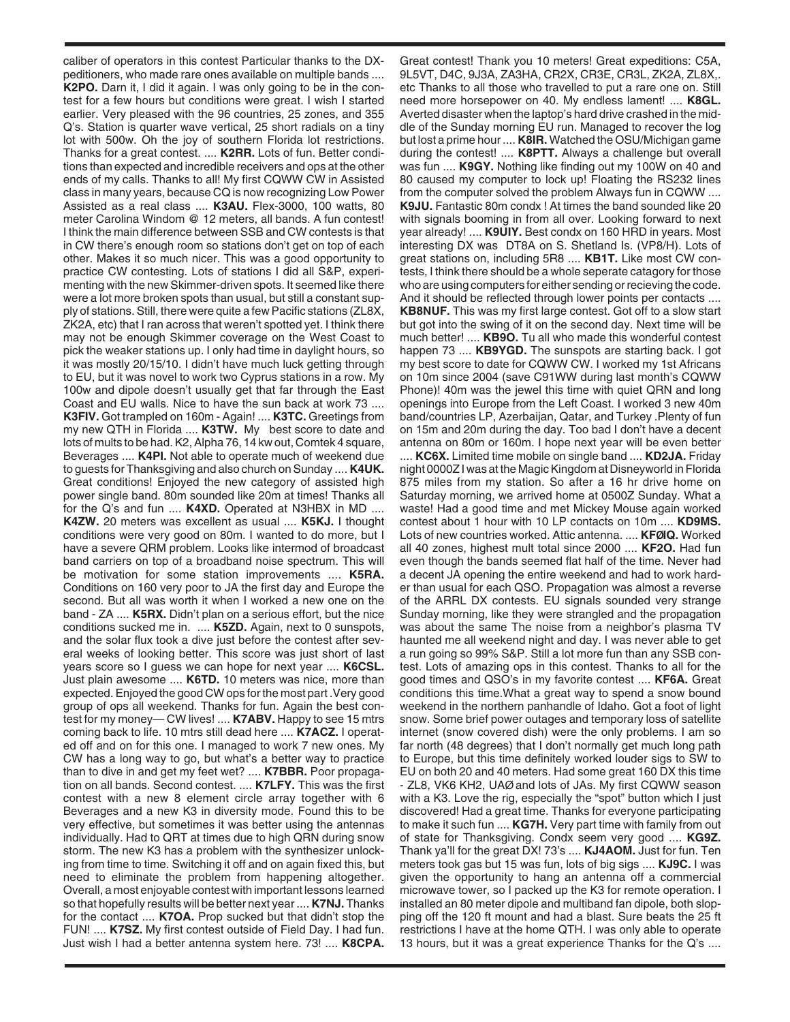caliber of operators in this contest Particular thanks to the DXpeditioners, who made rare ones available on multiple bands .... **K2PO.** Darn it, I did it again. I was only going to be in the contest for a few hours but conditions were great. I wish I started earlier. Very pleased with the 96 countries, 25 zones, and 355 Q's. Station is quarter wave vertical, 25 short radials on a tiny lot with 500w. Oh the joy of southern Florida lot restrictions. Thanks for a great contest. .... **K2RR.** Lots of fun. Better conditions than expected and incredible receivers and ops at the other ends of my calls. Thanks to all! My first CQWW CW in Assisted class in many years, because CQ is now recognizing Low Power Assisted as a real class .... **K3AU.** Flex-3000, 100 watts, 80 meter Carolina Windom @ 12 meters, all bands. A fun contest! I think the main difference between SSB and CW contests is that in CW there's enough room so stations don't get on top of each other. Makes it so much nicer. This was a good opportunity to practice CW contesting. Lots of stations I did all S&P, experimenting with the new Skimmer-driven spots. It seemed like there were a lot more broken spots than usual, but still a constant supply of stations. Still, there were quite a few Pacific stations (ZL8X, ZK2A, etc) that I ran across that weren't spotted yet. I think there may not be enough Skimmer coverage on the West Coast to pick the weaker stations up. I only had time in daylight hours, so it was mostly 20/15/10. I didn't have much luck getting through to EU, but it was novel to work two Cyprus stations in a row. My 100w and dipole doesn't usually get that far through the East Coast and EU walls. Nice to have the sun back at work 73 .... **K3FIV.** Got trampled on 160m - Again! .... **K3TC.** Greetings from my new QTH in Florida .... **K3TW.** My best score to date and lots of mults to be had. K2, Alpha 76, 14 kw out, Comtek 4 square, Beverages .... **K4PI.** Not able to operate much of weekend due to guests for Thanksgiving and also church on Sunday .... **K4UK.** Great conditions! Enjoyed the new category of assisted high power single band. 80m sounded like 20m at times! Thanks all for the Q's and fun .... **K4XD.** Operated at N3HBX in MD .... **K4ZW.** 20 meters was excellent as usual .... **K5KJ.** I thought conditions were very good on 80m. I wanted to do more, but I have a severe QRM problem. Looks like intermod of broadcast band carriers on top of a broadband noise spectrum. This will be motivation for some station improvements .... **K5RA.** Conditions on 160 very poor to JA the first day and Europe the second. But all was worth it when I worked a new one on the band - ZA .... **K5RX.** Didn't plan on a serious effort, but the nice conditions sucked me in. .... **K5ZD.** Again, next to 0 sunspots, and the solar flux took a dive just before the contest after several weeks of looking better. This score was just short of last years score so I guess we can hope for next year .... **K6CSL.** Just plain awesome .... **K6TD.** 10 meters was nice, more than expected. Enjoyed the good CW ops for the most part .Very good group of ops all weekend. Thanks for fun. Again the best contest for my money— CW lives! .... **K7ABV.** Happy to see 15 mtrs coming back to life. 10 mtrs still dead here .... **K7ACZ.** I operated off and on for this one. I managed to work 7 new ones. My CW has a long way to go, but what's a better way to practice than to dive in and get my feet wet? .... **K7BBR.** Poor propagation on all bands. Second contest. .... **K7LFY.** This was the first contest with a new 8 element circle array together with 6 Beverages and a new K3 in diversity mode. Found this to be very effective, but sometimes it was better using the antennas individually. Had to QRT at times due to high QRN during snow storm. The new K3 has a problem with the synthesizer unlocking from time to time. Switching it off and on again fixed this, but need to eliminate the problem from happening altogether. Overall, a most enjoyable contest with important lessons learned so that hopefully results will be better next year .... **K7NJ.** Thanks for the contact .... **K7OA.** Prop sucked but that didn't stop the FUN! .... **K7SZ.** My first contest outside of Field Day. I had fun. Just wish I had a better antenna system here. 73! .... **K8CPA.**

Great contest! Thank you 10 meters! Great expeditions: C5A, 9L5VT, D4C, 9J3A, ZA3HA, CR2X, CR3E, CR3L, ZK2A, ZL8X,. etc Thanks to all those who travelled to put a rare one on. Still need more horsepower on 40. My endless lament! .... **K8GL.** Averted disaster when the laptop's hard drive crashed in the middle of the Sunday morning EU run. Managed to recover the log but lost a prime hour .... **K8IR.** Watched the OSU/Michigan game during the contest! .... **K8PTT.** Always a challenge but overall was fun .... **K9GY.** Nothing like finding out my 100W on 40 and 80 caused my computer to lock up! Floating the RS232 lines from the computer solved the problem Always fun in CQWW .... **K9JU.** Fantastic 80m condx ! At times the band sounded like 20 with signals booming in from all over. Looking forward to next year already! .... **K9UIY.** Best condx on 160 HRD in years. Most interesting DX was DT8A on S. Shetland Is. (VP8/H). Lots of great stations on, including 5R8 .... **KB1T.** Like most CW contests, I think there should be a whole seperate catagory for those who are using computers for either sending or recieving the code. And it should be reflected through lower points per contacts .... **KB8NUF.** This was my first large contest. Got off to a slow start but got into the swing of it on the second day. Next time will be much better! .... **KB9O.** Tu all who made this wonderful contest happen 73 .... **KB9YGD.** The sunspots are starting back. I got my best score to date for CQWW CW. I worked my 1st Africans on 10m since 2004 (save C91WW during last month's CQWW Phone)! 40m was the jewel this time with quiet QRN and long openings into Europe from the Left Coast. I worked 3 new 40m band/countries LP, Azerbaijan, Qatar, and Turkey .Plenty of fun on 15m and 20m during the day. Too bad I don't have a decent antenna on 80m or 160m. I hope next year will be even better

.... **KC6X.** Limited time mobile on single band .... **KD2JA.** Friday night 0000Z I was at the Magic Kingdom at Disneyworld in Florida 875 miles from my station. So after a 16 hr drive home on Saturday morning, we arrived home at 0500Z Sunday. What a waste! Had a good time and met Mickey Mouse again worked contest about 1 hour with 10 LP contacts on 10m .... **KD9MS.** Lots of new countries worked. Attic antenna. .... **KFØIQ.** Worked all 40 zones, highest mult total since 2000 .... **KF2O.** Had fun even though the bands seemed flat half of the time. Never had a decent JA opening the entire weekend and had to work harder than usual for each QSO. Propagation was almost a reverse of the ARRL DX contests. EU signals sounded very strange Sunday morning, like they were strangled and the propagation was about the same The noise from a neighbor's plasma TV haunted me all weekend night and day. I was never able to get a run going so 99% S&P. Still a lot more fun than any SSB contest. Lots of amazing ops in this contest. Thanks to all for the good times and QSO's in my favorite contest .... **KF6A.** Great conditions this time.What a great way to spend a snow bound weekend in the northern panhandle of Idaho. Got a foot of light snow. Some brief power outages and temporary loss of satellite internet (snow covered dish) were the only problems. I am so far north (48 degrees) that I don't normally get much long path to Europe, but this time definitely worked louder sigs to SW to EU on both 20 and 40 meters. Had some great 160 DX this time - ZL8, VK6 KH2, UAØ and lots of JAs. My first CQWW season with a K3. Love the rig, especially the "spot" button which I just discovered! Had a great time. Thanks for everyone participating to make it such fun .... **KG7H.** Very part time with family from out of state for Thanksgiving. Condx seem very good .... **KG9Z.** Thank ya'll for the great DX! 73's .... **KJ4AOM.** Just for fun. Ten meters took gas but 15 was fun, lots of big sigs .... **KJ9C.** I was given the opportunity to hang an antenna off a commercial microwave tower, so I packed up the K3 for remote operation. I installed an 80 meter dipole and multiband fan dipole, both slopping off the 120 ft mount and had a blast. Sure beats the 25 ft restrictions I have at the home QTH. I was only able to operate 13 hours, but it was a great experience Thanks for the Q's ....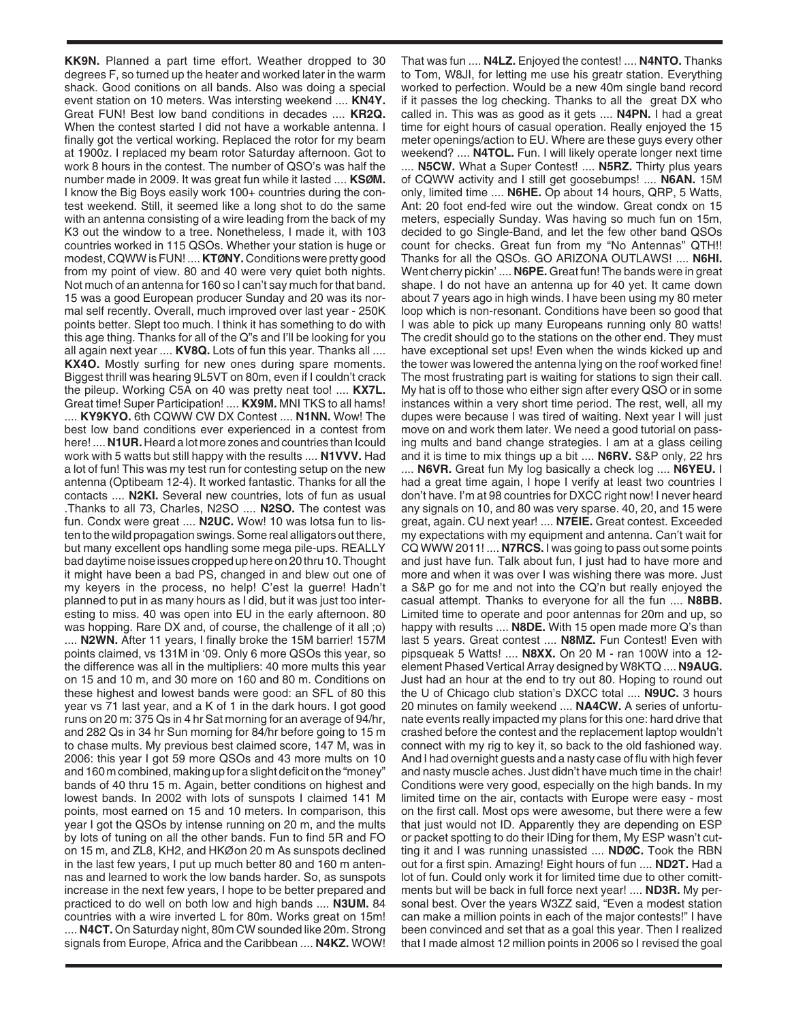**KK9N.** Planned a part time effort. Weather dropped to 30 degrees F, so turned up the heater and worked later in the warm shack. Good conitions on all bands. Also was doing a special event station on 10 meters. Was intersting weekend .... **KN4Y.** Great FUN! Best low band conditions in decades .... **KR2Q.** When the contest started I did not have a workable antenna. I finally got the vertical working. Replaced the rotor for my beam at 1900z. I replaced my beam rotor Saturday afternoon. Got to work 8 hours in the contest. The number of QSO's was half the number made in 2009. It was great fun while it lasted .... **KSØM.** I know the Big Boys easily work 100+ countries during the contest weekend. Still, it seemed like a long shot to do the same with an antenna consisting of a wire leading from the back of my K3 out the window to a tree. Nonetheless, I made it, with 103 countries worked in 115 QSOs. Whether your station is huge or modest, CQWW is FUN! .... **KTØNY.** Conditions were pretty good from my point of view. 80 and 40 were very quiet both nights. Not much of an antenna for 160 so I can't say much for that band. 15 was a good European producer Sunday and 20 was its normal self recently. Overall, much improved over last year - 250K points better. Slept too much. I think it has something to do with this age thing. Thanks for all of the Q"s and I'll be looking for you all again next year .... **KV8Q.** Lots of fun this year. Thanks all .... **KX4O.** Mostly surfing for new ones during spare moments. Biggest thrill was hearing 9L5VT on 80m, even if I couldn't crack the pileup. Working C5A on 40 was pretty neat too! .... **KX7L.** Great time! Super Participation! .... **KX9M.** MNI TKS to all hams! .... **KY9KYO.** 6th CQWW CW DX Contest .... **N1NN.** Wow! The best low band conditions ever experienced in a contest from here! .... **N1UR.** Heard a lot more zones and countries than Icould work with 5 watts but still happy with the results .... **N1VVV.** Had a lot of fun! This was my test run for contesting setup on the new antenna (Optibeam 12-4). It worked fantastic. Thanks for all the contacts .... **N2KI.** Several new countries, lots of fun as usual .Thanks to all 73, Charles, N2SO .... **N2SO.** The contest was fun. Condx were great .... **N2UC.** Wow! 10 was lotsa fun to listen to the wild propagation swings. Some real alligators out there, but many excellent ops handling some mega pile-ups. REALLY bad daytime noise issues cropped up here on 20 thru 10. Thought it might have been a bad PS, changed in and blew out one of my keyers in the process, no help! C'est la guerre! Hadn't planned to put in as many hours as I did, but it was just too interesting to miss. 40 was open into EU in the early afternoon. 80 was hopping. Rare DX and, of course, the challenge of it all ;o) .... **N2WN.** After 11 years, I finally broke the 15M barrier! 157M points claimed, vs 131M in '09. Only 6 more QSOs this year, so the difference was all in the multipliers: 40 more mults this year on 15 and 10 m, and 30 more on 160 and 80 m. Conditions on these highest and lowest bands were good: an SFL of 80 this year vs 71 last year, and a K of 1 in the dark hours. I got good runs on 20 m: 375 Qs in 4 hr Sat morning for an average of 94/hr, and 282 Qs in 34 hr Sun morning for 84/hr before going to 15 m to chase mults. My previous best claimed score, 147 M, was in 2006: this year I got 59 more QSOs and 43 more mults on 10 and 160 m combined, making up for a slight deficit on the "money" bands of 40 thru 15 m. Again, better conditions on highest and lowest bands. In 2002 with lots of sunspots I claimed 141 M points, most earned on 15 and 10 meters. In comparison, this year I got the QSOs by intense running on 20 m, and the mults by lots of tuning on all the other bands. Fun to find 5R and FO on 15 m, and ZL8, KH2, and HKØ on 20 m As sunspots declined in the last few years, I put up much better 80 and 160 m antennas and learned to work the low bands harder. So, as sunspots increase in the next few years, I hope to be better prepared and practiced to do well on both low and high bands .... **N3UM.** 84 countries with a wire inverted L for 80m. Works great on 15m! .... **N4CT.** On Saturday night, 80m CW sounded like 20m. Strong signals from Europe, Africa and the Caribbean .... **N4KZ.** WOW!

That was fun .... **N4LZ.** Enjoyed the contest! .... **N4NTO.** Thanks to Tom, W8JI, for letting me use his greatr station. Everything worked to perfection. Would be a new 40m single band record if it passes the log checking. Thanks to all the great DX who called in. This was as good as it gets .... **N4PN.** I had a great time for eight hours of casual operation. Really enjoyed the 15 meter openings/action to EU. Where are these guys every other weekend? .... **N4TOL.** Fun. I will likely operate longer next time .... **N5CW.** What a Super Contest! .... **N5RZ.** Thirty plus years of CQWW activity and I still get goosebumps! .... **N6AN.** 15M only, limited time .... **N6HE.** Op about 14 hours, QRP, 5 Watts, Ant: 20 foot end-fed wire out the window. Great condx on 15 meters, especially Sunday. Was having so much fun on 15m, decided to go Single-Band, and let the few other band QSOs count for checks. Great fun from my "No Antennas" QTH!! Thanks for all the QSOs. GO ARIZONA OUTLAWS! .... **N6HI.** Went cherry pickin' .... **N6PE.** Great fun! The bands were in great shape. I do not have an antenna up for 40 yet. It came down about 7 years ago in high winds. I have been using my 80 meter loop which is non-resonant. Conditions have been so good that I was able to pick up many Europeans running only 80 watts! The credit should go to the stations on the other end. They must have exceptional set ups! Even when the winds kicked up and the tower was lowered the antenna lying on the roof worked fine! The most frustrating part is waiting for stations to sign their call. My hat is off to those who either sign after every QSO or in some instances within a very short time period. The rest, well, all my dupes were because I was tired of waiting. Next year I will just move on and work them later. We need a good tutorial on passing mults and band change strategies. I am at a glass ceiling and it is time to mix things up a bit .... **N6RV.** S&P only, 22 hrs .... **N6VR.** Great fun My log basically a check log .... **N6YEU.** I had a great time again, I hope I verify at least two countries I don't have. I'm at 98 countries for DXCC right now! I never heard any signals on 10, and 80 was very sparse. 40, 20, and 15 were great, again. CU next year! .... **N7EIE.** Great contest. Exceeded my expectations with my equipment and antenna. Can't wait for CQ WWW 2011! .... **N7RCS.** I was going to pass out some points and just have fun. Talk about fun, I just had to have more and more and when it was over I was wishing there was more. Just a S&P go for me and not into the CQ'n but really enjoyed the casual attempt. Thanks to everyone for all the fun .... **N8BB.** Limited time to operate and poor antennas for 20m and up, so happy with results .... **N8DE.** With 15 open made more Q's than last 5 years. Great contest .... **N8MZ.** Fun Contest! Even with pipsqueak 5 Watts! .... **N8XX.** On 20 M - ran 100W into a 12 element Phased Vertical Array designed by W8KTQ .... **N9AUG.** Just had an hour at the end to try out 80. Hoping to round out the U of Chicago club station's DXCC total .... **N9UC.** 3 hours 20 minutes on family weekend .... **NA4CW.** A series of unfortunate events really impacted my plans for this one: hard drive that crashed before the contest and the replacement laptop wouldn't connect with my rig to key it, so back to the old fashioned way. And I had overnight guests and a nasty case of flu with high fever and nasty muscle aches. Just didn't have much time in the chair! Conditions were very good, especially on the high bands. In my limited time on the air, contacts with Europe were easy - most on the first call. Most ops were awesome, but there were a few that just would not ID. Apparently they are depending on ESP or packet spotting to do their IDing for them, My ESP wasn't cutting it and I was running unassisted .... **NDØC.** Took the RBN out for a first spin. Amazing! Eight hours of fun .... **ND2T.** Had a lot of fun. Could only work it for limited time due to other comittments but will be back in full force next year! .... **ND3R.** My personal best. Over the years W3ZZ said, "Even a modest station can make a million points in each of the major contests!" I have been convinced and set that as a goal this year. Then I realized that I made almost 12 million points in 2006 so I revised the goal